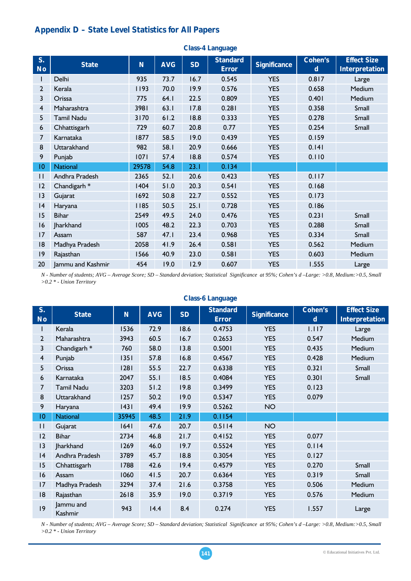## **Appendix D – State Level Statistics for All Papers**

| S.<br><b>No</b> | <b>State</b>            | N     | <b>AVG</b> | <b>SD</b> | <b>Standard</b><br><b>Error</b> | <b>Significance</b> | Cohen's<br>d | <b>Effect Size</b><br><b>Interpretation</b> |
|-----------------|-------------------------|-------|------------|-----------|---------------------------------|---------------------|--------------|---------------------------------------------|
|                 | Delhi                   | 935   | 73.7       | 16.7      | 0.545                           | <b>YES</b>          | 0.817        | Large                                       |
| $\overline{2}$  | Kerala                  | 1193  | 70.0       | 19.9      | 0.576                           | <b>YES</b>          | 0.658        | Medium                                      |
| 3               | Orissa                  | 775   | 64.1       | 22.5      | 0.809                           | <b>YES</b>          | 0.401        | Medium                                      |
| $\overline{4}$  | Maharashtra             | 3981  | 63.1       | 17.8      | 0.281                           | <b>YES</b>          | 0.358        | Small                                       |
| 5               | <b>Tamil Nadu</b>       | 3170  | 61.2       | 18.8      | 0.333                           | <b>YES</b>          | 0.278        | Small                                       |
| 6               | Chhattisgarh            | 729   | 60.7       | 20.8      | 0.77                            | <b>YES</b>          | 0.254        | Small                                       |
| 7               | Karnataka               | 1877  | 58.5       | 19.0      | 0.439                           | <b>YES</b>          | 0.159        |                                             |
| 8               | Uttarakhand             | 982   | 58.1       | 20.9      | 0.666                           | <b>YES</b>          | 0.141        |                                             |
| 9               | Punjab                  | 07    | 57.4       | 18.8      | 0.574                           | <b>YES</b>          | 0.110        |                                             |
| 10              | <b>National</b>         | 29578 | 54.8       | 23.1      | 0.134                           |                     |              |                                             |
| П               | Andhra Pradesh          | 2365  | 52.1       | 20.6      | 0.423                           | <b>YES</b>          | 0.117        |                                             |
| 12              | Chandigarh <sup>*</sup> | 1404  | 51.0       | 20.3      | 0.541                           | <b>YES</b>          | 0.168        |                                             |
| 3               | Gujarat                 | 1692  | 50.8       | 22.7      | 0.552                           | <b>YES</b>          | 0.173        |                                             |
| 14              | Haryana                 | 1185  | 50.5       | 25.1      | 0.728                           | <b>YES</b>          | 0.186        |                                             |
| 15              | <b>Bihar</b>            | 2549  | 49.5       | 24.0      | 0.476                           | <b>YES</b>          | 0.231        | Small                                       |
| 16              | <b>Jharkhand</b>        | 1005  | 48.2       | 22.3      | 0.703                           | <b>YES</b>          | 0.288        | Small                                       |
| 17              | Assam                   | 587   | 47.1       | 23.4      | 0.968                           | <b>YES</b>          | 0.334        | Small                                       |
| 18              | Madhya Pradesh          | 2058  | 41.9       | 26.4      | 0.581                           | <b>YES</b>          | 0.562        | Medium                                      |
| 9               | Rajasthan               | 1566  | 40.9       | 23.0      | 0.581                           | <b>YES</b>          | 0.603        | Medium                                      |
| 20              | Jammu and Kashmir       | 454   | 19.0       | 12.9      | 0.607                           | <b>YES</b>          | 1.555        | Large                                       |

**Class-4 Language** 

*N - Number of students; AVG – Average Score; SD – Standard deviation; Statistical Significance at 95%; Cohen's d –Large: >0.8, Medium:>0.5, Small >0.2 \* - Union Territory*

|                 |                         |       |            |           | <b>Class-6 Language</b>         |                     |                        |                                             |
|-----------------|-------------------------|-------|------------|-----------|---------------------------------|---------------------|------------------------|---------------------------------------------|
| S.<br><b>No</b> | <b>State</b>            | N     | <b>AVG</b> | <b>SD</b> | <b>Standard</b><br><b>Error</b> | <b>Significance</b> | Cohen's<br>$\mathbf d$ | <b>Effect Size</b><br><b>Interpretation</b> |
|                 | Kerala                  | 1536  | 72.9       | 18.6      | 0.4753                          | <b>YES</b>          | 1.117                  | Large                                       |
| $\overline{2}$  | Maharashtra             | 3943  | 60.5       | 16.7      | 0.2653                          | <b>YES</b>          | 0.547                  | Medium                                      |
| 3               | Chandigarh <sup>*</sup> | 760   | 58.0       | 13.8      | 0.5001                          | <b>YES</b>          | 0.435                  | Medium                                      |
| $\overline{4}$  | Punjab                  | 1351  | 57.8       | 16.8      | 0.4567                          | <b>YES</b>          | 0.428                  | Medium                                      |
| 5               | Orissa                  | 1281  | 55.5       | 22.7      | 0.6338                          | <b>YES</b>          | 0.321                  | Small                                       |
| 6               | Karnataka               | 2047  | 55.1       | 18.5      | 0.4084                          | <b>YES</b>          | 0.301                  | Small                                       |
| $\overline{7}$  | <b>Tamil Nadu</b>       | 3203  | 51.2       | 19.8      | 0.3499                          | <b>YES</b>          | 0.123                  |                                             |
| 8               | Uttarakhand             | 1257  | 50.2       | 19.0      | 0.5347                          | <b>YES</b>          | 0.079                  |                                             |
| 9               | Haryana                 | 43    | 49.4       | 19.9      | 0.5262                          | <b>NO</b>           |                        |                                             |
| $ 0\rangle$     | <b>National</b>         | 35945 | 48.5       | 21.9      | 0.1154                          |                     |                        |                                             |
| $\mathbf{H}$    | Gujarat                 | 1641  | 47.6       | 20.7      | 0.5114                          | <b>NO</b>           |                        |                                             |
| 12              | <b>Bihar</b>            | 2734  | 46.8       | 21.7      | 0.4152                          | <b>YES</b>          | 0.077                  |                                             |
| 3               | <b>Jharkhand</b>        | 1269  | 46.0       | 19.7      | 0.5524                          | <b>YES</b>          | 0.114                  |                                             |
| 4               | Andhra Pradesh          | 3789  | 45.7       | 18.8      | 0.3054                          | <b>YES</b>          | 0.127                  |                                             |
| 15              | Chhattisgarh            | 1788  | 42.6       | 19.4      | 0.4579                          | <b>YES</b>          | 0.270                  | Small                                       |
| 16              | Assam                   | 1060  | 41.5       | 20.7      | 0.6364                          | <b>YES</b>          | 0.319                  | Small                                       |
| 17              | Madhya Pradesh          | 3294  | 37.4       | 21.6      | 0.3758                          | <b>YES</b>          | 0.506                  | Medium                                      |
| 8               | Rajasthan               | 2618  | 35.9       | 19.0      | 0.3719                          | <b>YES</b>          | 0.576                  | Medium                                      |
| 9               | Jammu and<br>Kashmir    | 943   | 14.4       | 8.4       | 0.274                           | <b>YES</b>          | 1.557                  | Large                                       |

*N - Number of students; AVG – Average Score; SD – Standard deviation; Statistical Significance at 95%; Cohen's d –Large: >0.8, Medium:>0.5, Small >0.2 \* - Union Territory*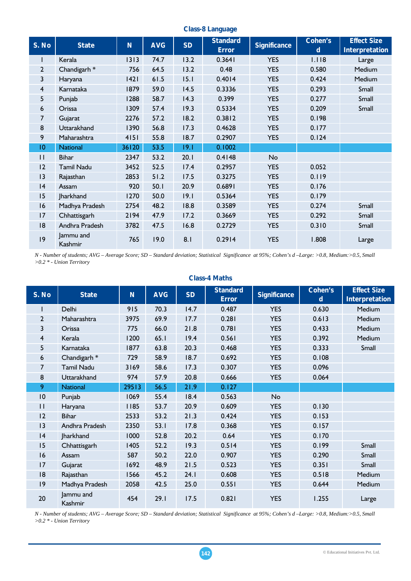| S. No           | <b>State</b>            | N     | <b>AVG</b> | <b>SD</b> | <b>Standard</b> | <b>Significance</b> | <b>Cohen's</b> | <b>Effect Size</b>    |
|-----------------|-------------------------|-------|------------|-----------|-----------------|---------------------|----------------|-----------------------|
|                 |                         |       |            |           | <b>Error</b>    |                     | $\mathbf d$    | <b>Interpretation</b> |
| I               | Kerala                  | 1313  | 74.7       | 13.2      | 0.3641          | <b>YES</b>          | 1.118          | Large                 |
| $\overline{2}$  | Chandigarh <sup>*</sup> | 756   | 64.5       | 13.2      | 0.48            | <b>YES</b>          | 0.580          | Medium                |
| 3               | Haryana                 | 42    | 61.5       | 15.1      | 0.4014          | <b>YES</b>          | 0.424          | Medium                |
| $\overline{4}$  | Karnataka               | 1879  | 59.0       | 14.5      | 0.3336          | <b>YES</b>          | 0.293          | Small                 |
| 5               | Punjab                  | 1288  | 58.7       | 14.3      | 0.399           | <b>YES</b>          | 0.277          | Small                 |
| 6               | Orissa                  | 1309  | 57.4       | 19.3      | 0.5334          | <b>YES</b>          | 0.209          | Small                 |
| 7               | Gujarat                 | 2276  | 57.2       | 18.2      | 0.3812          | <b>YES</b>          | 0.198          |                       |
| 8               | Uttarakhand             | 1390  | 56.8       | 17.3      | 0.4628          | <b>YES</b>          | 0.177          |                       |
| 9               | Maharashtra             | 4151  | 55.8       | 18.7      | 0.2907          | <b>YES</b>          | 0.124          |                       |
| $\overline{10}$ | <b>National</b>         | 36120 | 53.5       | 19.1      | 0.1002          |                     |                |                       |
| $\mathbf{H}$    | <b>Bihar</b>            | 2347  | 53.2       | 20.1      | 0.4148          | No                  |                |                       |
| 12              | <b>Tamil Nadu</b>       | 3452  | 52.5       | 17.4      | 0.2957          | <b>YES</b>          | 0.052          |                       |
| 3               | Rajasthan               | 2853  | 51.2       | 17.5      | 0.3275          | <b>YES</b>          | 0.119          |                       |
| 4               | Assam                   | 920   | 50.1       | 20.9      | 0.6891          | <b>YES</b>          | 0.176          |                       |
| 15              | <b>Jharkhand</b>        | 1270  | 50.0       | 19.1      | 0.5364          | <b>YES</b>          | 0.179          |                       |
| 16              | Madhya Pradesh          | 2754  | 48.2       | 18.8      | 0.3589          | <b>YES</b>          | 0.274          | Small                 |
| 17              | Chhattisgarh            | 2194  | 47.9       | 17.2      | 0.3669          | <b>YES</b>          | 0.292          | Small                 |
| 18              | Andhra Pradesh          | 3782  | 47.5       | 16.8      | 0.2729          | <b>YES</b>          | 0.310          | Small                 |
| 9               | Jammu and<br>Kashmir    | 765   | 19.0       | 8.1       | 0.2914          | <b>YES</b>          | 1.808          | Large                 |

**Class-8 Language** 

*N - Number of students; AVG – Average Score; SD – Standard deviation; Statistical Significance at 95%; Cohen's d –Large: >0.8, Medium:>0.5, Small >0.2 \* - Union Territory*

|                |                         |       |            |           | <b>Class-4 Maths</b>            |                     |                        |                                      |
|----------------|-------------------------|-------|------------|-----------|---------------------------------|---------------------|------------------------|--------------------------------------|
| S. No          | <b>State</b>            | N     | <b>AVG</b> | <b>SD</b> | <b>Standard</b><br><b>Error</b> | <b>Significance</b> | Cohen's<br>$\mathbf d$ | <b>Effect Size</b><br>Interpretation |
|                | Delhi                   | 915   | 70.3       | 14.7      | 0.487                           | <b>YES</b>          | 0.630                  | Medium                               |
| $\overline{2}$ | Maharashtra             | 3975  | 69.9       | 17.7      | 0.281                           | <b>YES</b>          | 0.613                  | Medium                               |
| 3              | Orissa                  | 775   | 66.0       | 21.8      | 0.781                           | <b>YES</b>          | 0.433                  | Medium                               |
| $\overline{4}$ | Kerala                  | 1200  | 65.1       | 19.4      | 0.561                           | <b>YES</b>          | 0.392                  | Medium                               |
| 5              | Karnataka               | 1877  | 63.8       | 20.3      | 0.468                           | <b>YES</b>          | 0.333                  | Small                                |
| 6              | Chandigarh <sup>*</sup> | 729   | 58.9       | 18.7      | 0.692                           | <b>YES</b>          | 0.108                  |                                      |
| $\overline{7}$ | <b>Tamil Nadu</b>       | 3169  | 58.6       | 17.3      | 0.307                           | <b>YES</b>          | 0.096                  |                                      |
| 8              | Uttarakhand             | 974   | 57.9       | 20.8      | 0.666                           | <b>YES</b>          | 0.064                  |                                      |
| 9              | <b>National</b>         | 29513 | 56.5       | 21.9      | 0.127                           |                     |                        |                                      |
| 10             | Punjab                  | 1069  | 55.4       | 18.4      | 0.563                           | No                  |                        |                                      |
| $\mathbf{H}$   | Haryana                 | 1185  | 53.7       | 20.9      | 0.609                           | <b>YES</b>          | 0.130                  |                                      |
| 12             | <b>Bihar</b>            | 2533  | 53.2       | 21.3      | 0.424                           | <b>YES</b>          | 0.153                  |                                      |
| 3              | Andhra Pradesh          | 2350  | 53.1       | 17.8      | 0.368                           | <b>YES</b>          | 0.157                  |                                      |
| 4              | Jharkhand               | 1000  | 52.8       | 20.2      | 0.64                            | <b>YES</b>          | 0.170                  |                                      |
| 15             | Chhattisgarh            | 1405  | 52.2       | 19.3      | 0.514                           | <b>YES</b>          | 0.199                  | Small                                |
| 16             | Assam                   | 587   | 50.2       | 22.0      | 0.907                           | <b>YES</b>          | 0.290                  | Small                                |
| 17             | Gujarat                 | 1692  | 48.9       | $21.5$    | 0.523                           | <b>YES</b>          | 0.351                  | Small                                |
| 8              | Rajasthan               | 1566  | 45.2       | 24.1      | 0.608                           | <b>YES</b>          | 0.518                  | Medium                               |
| 9              | Madhya Pradesh          | 2058  | 42.5       | 25.0      | 0.551                           | <b>YES</b>          | 0.644                  | Medium                               |
| 20             | Jammu and<br>Kashmir    | 454   | 29.1       | 17.5      | 0.821                           | <b>YES</b>          | 1.255                  | Large                                |

*N - Number of students; AVG – Average Score; SD – Standard deviation; Statistical Significance at 95%; Cohen's d –Large: >0.8, Medium:>0.5, Small >0.2 \* - Union Territory*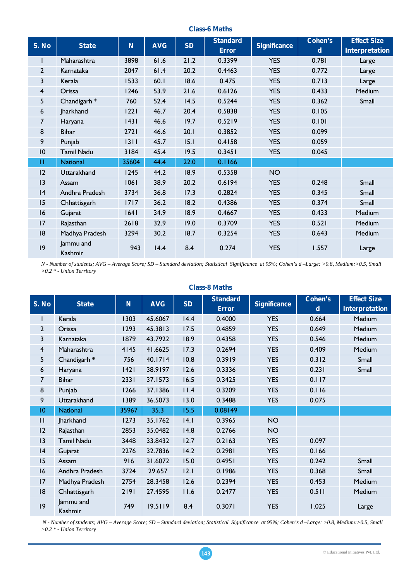### **Class-6 Maths**

| S. No           | <b>State</b>            | N <sub>1</sub> | <b>AVG</b> | <b>SD</b> | <b>Standard</b><br><b>Error</b> | <b>Significance</b> | <b>Cohen's</b><br>$\mathbf d$ | <b>Effect Size</b><br><b>Interpretation</b> |
|-----------------|-------------------------|----------------|------------|-----------|---------------------------------|---------------------|-------------------------------|---------------------------------------------|
| $\mathbf{I}$    | Maharashtra             | 3898           | 61.6       | 21.2      | 0.3399                          | <b>YES</b>          | 0.781                         | Large                                       |
| $\overline{2}$  | Karnataka               | 2047           | 61.4       | 20.2      | 0.4463                          | <b>YES</b>          | 0.772                         | Large                                       |
| 3               | Kerala                  | 1533           | 60.1       | 18.6      | 0.475                           | <b>YES</b>          | 0.713                         | Large                                       |
| $\overline{4}$  | Orissa                  | 1246           | 53.9       | 21.6      | 0.6126                          | <b>YES</b>          | 0.433                         | Medium                                      |
| 5 <sub>5</sub>  | Chandigarh <sup>*</sup> | 760            | 52.4       | 14.5      | 0.5244                          | <b>YES</b>          | 0.362                         | Small                                       |
| 6               | <b>Jharkhand</b>        | 1221           | 46.7       | 20.4      | 0.5838                          | <b>YES</b>          | 0.105                         |                                             |
| 7               | Haryana                 | 1431           | 46.6       | 19.7      | 0.5219                          | <b>YES</b>          | 0.101                         |                                             |
| 8               | <b>Bihar</b>            | 2721           | 46.6       | 20.1      | 0.3852                          | <b>YES</b>          | 0.099                         |                                             |
| 9               | Punjab                  | 1311           | 45.7       | 15.1      | 0.4158                          | <b>YES</b>          | 0.059                         |                                             |
| $\overline{10}$ | <b>Tamil Nadu</b>       | 3184           | 45.4       | 19.5      | 0.3451                          | <b>YES</b>          | 0.045                         |                                             |
| П               | <b>National</b>         | 35604          | 44.4       | 22.0      | 0.1166                          |                     |                               |                                             |
| 12              | Uttarakhand             | 1245           | 44.2       | 18.9      | 0.5358                          | <b>NO</b>           |                               |                                             |
| 3               | Assam                   | 1061           | 38.9       | 20.2      | 0.6194                          | <b>YES</b>          | 0.248                         | Small                                       |
| 4               | Andhra Pradesh          | 3734           | 36.8       | 17.3      | 0.2824                          | <b>YES</b>          | 0.345                         | Small                                       |
| 15              | Chhattisgarh            | 1717           | 36.2       | 18.2      | 0.4386                          | <b>YES</b>          | 0.374                         | Small                                       |
| 16              | Gujarat                 | 1641           | 34.9       | 18.9      | 0.4667                          | <b>YES</b>          | 0.433                         | Medium                                      |
| 17              | Rajasthan               | 2618           | 32.9       | 19.0      | 0.3709                          | <b>YES</b>          | 0.521                         | Medium                                      |
| 18              | Madhya Pradesh          | 3294           | 30.2       | 18.7      | 0.3254                          | <b>YES</b>          | 0.643                         | Medium                                      |
| 9               | Jammu and<br>Kashmir    | 943            | 14.4       | 8.4       | 0.274                           | <b>YES</b>          | 1.557                         | Large                                       |

*N - Number of students; AVG – Average Score; SD – Standard deviation; Statistical Significance at 95%; Cohen's d –Large: >0.8, Medium:>0.5, Small >0.2 \* - Union Territory*

|                 |                         |       |            |           | <b>Class-8 Maths</b>            |                     |                     |                                             |
|-----------------|-------------------------|-------|------------|-----------|---------------------------------|---------------------|---------------------|---------------------------------------------|
| S. No           | <b>State</b>            | N     | <b>AVG</b> | <b>SD</b> | <b>Standard</b><br><b>Error</b> | <b>Significance</b> | <b>Cohen's</b><br>d | <b>Effect Size</b><br><b>Interpretation</b> |
| ı               | Kerala                  | 1303  | 45.6067    | 14.4      | 0.4000                          | <b>YES</b>          | 0.664               | Medium                                      |
| $\overline{2}$  | Orissa                  | 1293  | 45.3813    | 17.5      | 0.4859                          | <b>YES</b>          | 0.649               | Medium                                      |
| 3               | Karnataka               | 1879  | 43.7922    | 18.9      | 0.4358                          | <b>YES</b>          | 0.546               | Medium                                      |
| 4               | Maharashtra             | 4145  | 41.6625    | 17.3      | 0.2694                          | <b>YES</b>          | 0.409               | Medium                                      |
| 5               | Chandigarh <sup>*</sup> | 756   | 40.1714    | 10.8      | 0.3919                          | <b>YES</b>          | 0.312               | Small                                       |
| 6               | Haryana                 | 42    | 38.9197    | 12.6      | 0.3336                          | <b>YES</b>          | 0.231               | Small                                       |
| 7               | <b>Bihar</b>            | 2331  | 37.1573    | 16.5      | 0.3425                          | <b>YES</b>          | 0.117               |                                             |
| 8               | Punjab                  | 1266  | 37.1386    | 11.4      | 0.3209                          | <b>YES</b>          | 0.116               |                                             |
| 9               | Uttarakhand             | 1389  | 36.5073    | 13.0      | 0.3488                          | <b>YES</b>          | 0.075               |                                             |
| $\overline{10}$ | <b>National</b>         | 35967 | 35.3       | 15.5      | 0.08149                         |                     |                     |                                             |
| $\mathbf{H}$    | <b>Jharkhand</b>        | 1273  | 35.1762    | 4.1       | 0.3965                          | <b>NO</b>           |                     |                                             |
| 2               | Rajasthan               | 2853  | 35.0482    | 14.8      | 0.2766                          | <b>NO</b>           |                     |                                             |
| 13              | <b>Tamil Nadu</b>       | 3448  | 33.8432    | 12.7      | 0.2163                          | <b>YES</b>          | 0.097               |                                             |
| 4               | Gujarat                 | 2276  | 32.7836    | 14.2      | 0.2981                          | <b>YES</b>          | 0.166               |                                             |
| 15              | Assam                   | 916   | 31.6072    | 15.0      | 0.4951                          | <b>YES</b>          | 0.242               | Small                                       |
| 16              | Andhra Pradesh          | 3724  | 29.657     | 12.1      | 0.1986                          | <b>YES</b>          | 0.368               | Small                                       |
| 17              | Madhya Pradesh          | 2754  | 28.3458    | 12.6      | 0.2394                          | <b>YES</b>          | 0.453               | Medium                                      |
| 18              | Chhattisgarh            | 2191  | 27.4595    | 11.6      | 0.2477                          | <b>YES</b>          | 0.511               | Medium                                      |
| 9               | Jammu and<br>Kashmir    | 749   | 19.5119    | 8.4       | 0.3071                          | <b>YES</b>          | 1.025               | Large                                       |

 *N - Number of students; AVG – Average Score; SD – Standard deviation; Statistical Significance at 95%; Cohen's d –Large: >0.8, Medium:>0.5, Small >0.2 \* - Union Territory*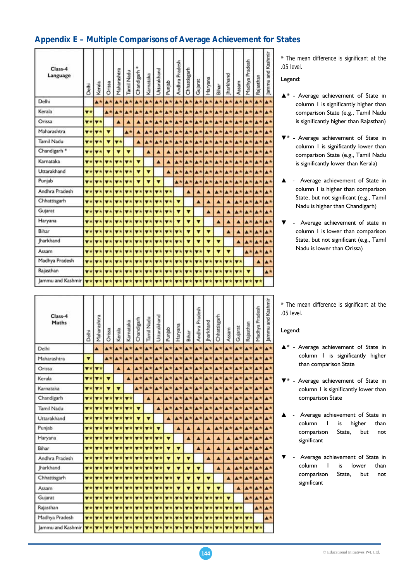## **Appendix E – Multiple Comparisons of Average Achievement for States**

| Class-4<br>Language                                                                                                                  | Delhi                        | Kerala                                              | Orissa                          | Maharashtra                     | Tamil Nadu                                 | Chandigarh                | Karnataka                                                                                                                                                                                                                                                                                                                                                                                                                                                                                  | Uttarakhand             | Punjab                          | Andhra Pradesh                  | Chhattisgarh              | Gujarat                                                                                                                                                                                                            | Haryana                                                          | Bihar     | harkhand                 | Assam                     | Madhya Pradesh          | Rajasthan                       | ammu and Kashmir |
|--------------------------------------------------------------------------------------------------------------------------------------|------------------------------|-----------------------------------------------------|---------------------------------|---------------------------------|--------------------------------------------|---------------------------|--------------------------------------------------------------------------------------------------------------------------------------------------------------------------------------------------------------------------------------------------------------------------------------------------------------------------------------------------------------------------------------------------------------------------------------------------------------------------------------------|-------------------------|---------------------------------|---------------------------------|---------------------------|--------------------------------------------------------------------------------------------------------------------------------------------------------------------------------------------------------------------|------------------------------------------------------------------|-----------|--------------------------|---------------------------|-------------------------|---------------------------------|------------------|
| Delhi                                                                                                                                |                              | <b>A*</b>                                           | ▲★                              | $\blacktriangle$ *              | A*                                         | <b>A*</b>                 | $\blacktriangle$ *                                                                                                                                                                                                                                                                                                                                                                                                                                                                         | $\blacktriangle$ *      | $\blacktriangle^*$              | A*                              |                           | <b>A*</b> A*                                                                                                                                                                                                       | A <sup>*</sup>                                                   | A*        | ▲★                       | $\blacktriangle\star$     | <b>A*</b>               | $A*$                            |                  |
| Kerala                                                                                                                               | $\mathbf{v}$ *               |                                                     | <b>A*</b>                       | $\blacktriangle^{\star}$        |                                            | <b>A*</b> A*              |                                                                                                                                                                                                                                                                                                                                                                                                                                                                                            | <b>A*</b> A*            |                                 |                                 |                           | $\mathbf{A}^{\star} \mathbf{A}^{\star} \mathbf{A}^{\star} \mathbf{A}^{\star} \mathbf{A}^{\star} \mathbf{A}^{\star} \mathbf{A}^{\star} \mathbf{A}^{\star} \mathbf{A}^{\star} \mathbf{A}^{\star} \mathbf{A}^{\star}$ |                                                                  |           |                          |                           |                         |                                 |                  |
| Orissa                                                                                                                               |                              | $\mathbf{v}$ * $\mathbf{v}$ *                       |                                 | Ä                               | $\blacktriangle$                           | $\blacktriangle$          |                                                                                                                                                                                                                                                                                                                                                                                                                                                                                            | <b>A*</b> A*            |                                 |                                 |                           | <b>A*</b> A* A* A* A* A* A* A* A* A*                                                                                                                                                                               |                                                                  |           |                          |                           |                         |                                 | n                |
| Maharashtra                                                                                                                          |                              | v* v*                                               | $\mathbf{v}$                    |                                 | $\blacktriangle$ *                         | ٨                         |                                                                                                                                                                                                                                                                                                                                                                                                                                                                                            | $A*A*$                  |                                 |                                 |                           | <b>A*</b> A* A* A* A* A* A*                                                                                                                                                                                        |                                                                  |           |                          |                           |                         | <b>A*</b> A* A*                 | х                |
| <b>Tamil Nadu</b>                                                                                                                    |                              | $\mathbf{v}$ * $\mathbf{v}$ *                       | ▼                               | $\overline{\mathbf{v}}$ *       |                                            | $\blacktriangle$          |                                                                                                                                                                                                                                                                                                                                                                                                                                                                                            | <b>A* A*</b>            | $\blacktriangle$ *              |                                 |                           | <b>A*</b> A* A* A* A* A* A* A* A*                                                                                                                                                                                  |                                                                  |           |                          |                           |                         |                                 | ĸ                |
| Chandigarh *                                                                                                                         |                              | <b>v</b> * <b>v</b> *                               | $\overline{\mathbf{v}}$         | ▼                               | ▼                                          |                           | ۸                                                                                                                                                                                                                                                                                                                                                                                                                                                                                          | ▲                       | ٨                               |                                 |                           | <b>A*</b> A* A* A* A*                                                                                                                                                                                              |                                                                  |           | $\blacktriangle^{\star}$ |                           | <b>A*</b> A*            | A*                              | A                |
| Karnataka                                                                                                                            |                              | $\mathbf{v}$ $\mathbf{x}$ $\mathbf{v}$ $\mathbf{x}$ | $\overline{\mathbf{v}}$ $\star$ | $\mathbf{v}$ *                  | $V^*$                                      | $\overline{\mathbf{v}}$   |                                                                                                                                                                                                                                                                                                                                                                                                                                                                                            | $\blacktriangle$        | Δ                               | $\blacktriangle\star$           |                           | <b>A*</b> A* A* A* A* A* A* A*                                                                                                                                                                                     |                                                                  |           |                          |                           |                         |                                 | л                |
| Uttarakhand                                                                                                                          | $\overline{\mathbf{v}}$ *    | <b>V*</b>                                           | $\overline{\mathbf{v}}$ *       |                                 | $\mathbf{v}$ * $\mathbf{v}$ *              | v                         | ▼                                                                                                                                                                                                                                                                                                                                                                                                                                                                                          |                         | ۸                               | $\blacktriangle^{\star}$        |                           | <b>A*</b> A* A*                                                                                                                                                                                                    |                                                                  |           |                          | <b>A*</b> A* A* A* A*     |                         |                                 | Δ                |
| Punjab                                                                                                                               | $\blacktriangledown$ $\star$ | <b>V*V*</b>                                         |                                 |                                 | $\mathbf{v}$ * $\mathbf{v}$ *              | $\overline{\mathbf{v}}$   | $\overline{\mathbf{v}}$                                                                                                                                                                                                                                                                                                                                                                                                                                                                    | $\overline{\mathbf{v}}$ |                                 | <b>A*</b>                       |                           | <b>A*</b> 4*                                                                                                                                                                                                       |                                                                  |           |                          | <b>A*</b> A* A* A* A* A*  |                         |                                 | Z                |
| Andhra Pradesh                                                                                                                       |                              | $\mathbf{v}$ * $\mathbf{v}$ * $\mathbf{v}$ *        |                                 |                                 |                                            |                           | $\mathbf{v}\star\mathbf{v}\star\mathbf{v}\star\mathbf{v}\star\mathbf{v}\star\mathbf{v}\star\mathbf{v}\star\mathbf{v}\star\mathbf{v}\star\mathbf{v}\star\mathbf{v}\star\mathbf{v}\star\mathbf{v}\star\mathbf{v}\star\mathbf{v}\star\mathbf{v}\star\mathbf{v}\star\mathbf{v}\star\mathbf{v}\star\mathbf{v}\star\mathbf{v}\star\mathbf{v}\star\mathbf{v}\star\mathbf{v}\star\mathbf{v}\star\mathbf{v}\star\mathbf{v}\star\mathbf{v}\star\mathbf{v}\star\mathbf{v}\star\mathbf{v}\star\mathbf$ |                         | $\overline{\mathbf{v}}$ *       |                                 | ▲                         | $\blacktriangle$                                                                                                                                                                                                   | ▲                                                                |           |                          | $A*A*A*A*A*$              |                         |                                 | Z                |
| Chhattisgarh                                                                                                                         |                              | $\mathbf{v}$ $\mathbf{v}$ $\mathbf{v}$ $\mathbf{v}$ | $\overline{\mathbf{v}}$ $\star$ |                                 | $\mathbf{v}$ * $\mathbf{v}$ * $\mathbf{r}$ | $\overline{\mathbf{v}}$ * |                                                                                                                                                                                                                                                                                                                                                                                                                                                                                            | <b>V*V*</b>             | $\overline{\mathbf{v}}$ *       | ▼                               |                           | $\blacktriangle$                                                                                                                                                                                                   | ▲                                                                | ▲         |                          | $\blacktriangle\star$     |                         | <b>A*</b> A*                    | л                |
| Gujarat                                                                                                                              | $\blacktriangledown$ $\star$ | $ \mathbf{v}\ $                                     | $\overline{\mathbf{v}}$ $\star$ |                                 |                                            |                           | $\mathbf{v}\star\mathbf{v}\star\mathbf{v}\star\mathbf{v}\star\mathbf{v}\star\mathbf{v}\star$                                                                                                                                                                                                                                                                                                                                                                                               |                         | $\blacktriangledown$ $\star$    | ▼                               | $\overline{\textbf{v}}$   |                                                                                                                                                                                                                    | ▲                                                                | ▲         | ▲                        | A*                        | A*                      | A*                              | A                |
| Haryana                                                                                                                              | $\mathbf{v}$ $\star$         | $\mathbf{v}$ $\star$                                | $\overline{\phantom{a}}$        | $\overline{\mathbf{v}}$ $\star$ | $\overline{\mathbf{v}}$                    | $\overline{\mathbf{v}}$ * |                                                                                                                                                                                                                                                                                                                                                                                                                                                                                            | <b>V*V*</b>             | $\overline{\mathbf{v}}$ *       | ▼                               | ▼                         | v                                                                                                                                                                                                                  |                                                                  | Ä         | ▲                        | $\blacktriangle$          | A*                      | A*                              |                  |
| Bihar                                                                                                                                | $\mathbf{v}$ $\star$         | $\mathbf{v}$ *                                      | $\overline{\mathbf{v}}$ $\star$ |                                 |                                            |                           | $\mathbf{v}\star\mathbf{v}\star\mathbf{v}\star\mathbf{v}\star\mathbf{v}\star\mathbf{v}\star\mathbf{v}$                                                                                                                                                                                                                                                                                                                                                                                     |                         | $\overline{\mathbf{v}}$ *       | $\overline{\mathbf{v}}$ $\star$ | v                         | ▼                                                                                                                                                                                                                  | ▼                                                                |           | ▲                        | $\blacktriangle$          | A*                      | A*                              |                  |
| <b>Jharkhand</b>                                                                                                                     | v*                           | $ \mathbf{v}\ $                                     | $\overline{\mathbf{v}}$ $\star$ |                                 |                                            |                           | $\mathbf{v}\star\mathbf{v}\star\mathbf{v}\star\mathbf{v}\star\mathbf{v}\star\mathbf{v}\star$                                                                                                                                                                                                                                                                                                                                                                                               |                         | $\overline{\mathbf{v}}$ $\star$ | $\overline{\mathbf{v}}$ *       | $\mathbf{v}$              | v                                                                                                                                                                                                                  | v                                                                | ▼         |                          | Δ                         | $\blacktriangle$ *      | A*                              | л                |
| Assam                                                                                                                                |                              | $\mathbf{v}$ * $\mathbf{v}$ * $\mathbf{v}$          | 罗大                              |                                 |                                            |                           | $\mathbf{v}\star\mathbf{v}\star\mathbf{v}\star\mathbf{v}\star\mathbf{v}\star\mathbf{v}\star$                                                                                                                                                                                                                                                                                                                                                                                               |                         | $\blacktriangledown$ $\star$    | v*                              |                           | $V^*$ $V^*$                                                                                                                                                                                                        | v                                                                | ▼         | ▼                        |                           | $\blacktriangle$ *      | A*                              | A                |
| Madhya Pradesh                                                                                                                       |                              | $\mathbf{v}$ * $\mathbf{v}$ *                       | $\blacktriangledown x$          |                                 |                                            |                           | <b>V*</b> V* V* V* V*                                                                                                                                                                                                                                                                                                                                                                                                                                                                      |                         |                                 |                                 |                           | $\mathbf{v}$ * $\mathbf{v}$ * $\mathbf{v}$ * $\mathbf{v}$ *                                                                                                                                                        | $\mathbf{v}$ $\mathbf{v}$ $\mathbf{v}$ $\mathbf{v}$ $\mathbf{v}$ |           |                          | v*                        |                         | ▲                               | Δ                |
| Rajasthan                                                                                                                            | $\overline{\mathbf{v}}$ *    | <b>Vx</b>                                           | 罗文                              | $\overline{\mathbf{v}}$ *       | $\overline{\mathbf{v}}$ *                  | $\mathbf{v}$ *            |                                                                                                                                                                                                                                                                                                                                                                                                                                                                                            | $V^*$ $V^*$             | $\overline{\mathbf{v}}$ *       | v*                              | $\overline{\mathbf{v}}$ * | $\overline{\mathbf{v}}$ *                                                                                                                                                                                          | v k                                                              | <b>VX</b> | $\mathbf{v}$ $\star$     | $\overline{\mathbf{v}}$ * | $\overline{\mathbf{v}}$ |                                 | $\blacktriangle$ |
| jammu and Kashmir <mark>  y *   y *   y *   y *   y *   y *   y *   y *   y *   y *   y *   y *   y *   y *   y *   y *   y *</mark> |                              |                                                     |                                 |                                 |                                            |                           |                                                                                                                                                                                                                                                                                                                                                                                                                                                                                            |                         |                                 |                                 |                           |                                                                                                                                                                                                                    |                                                                  |           |                          |                           |                         | $\overline{\mathbf{v}}$ $\star$ |                  |

\* *The mean difference is significant at the .05 level.* 

Legend:

- ▲\* Average achievement of State in column 1 is significantly higher than comparison State (e.g., Tamil Nadu is significantly higher than Rajasthan)
- Average achievement of State in column 1 is significantly lower than comparison State (e.g., Tamil Nadu is significantly lower than Kerala)
- ▲ Average achievement of State in column 1 is higher than comparison State, but not significant (e.g., Tamil Nadu is higher than Chandigarh)
- Average achievement of state in column 1 is lower than comparison State, but not significant (e.g., Tamil Nadu is lower than Orissa)

| Class-4<br>Maths  | Delhi                           | Maharashtra                     | Orissa                                              | Kerala                          | Karnataka                       | Chandigarh                 | Tamil Nadu                                          | Uttarakhand             | Punjab                                                      | Haryana                       | Bihar                       | Andhra Pradesh                              | harkhand                | Chhattisgarh                    | Assam     | Gujarat                        | Rajasthan                       | Madhya Pradesh           | Jammu and Kashmir        |
|-------------------|---------------------------------|---------------------------------|-----------------------------------------------------|---------------------------------|---------------------------------|----------------------------|-----------------------------------------------------|-------------------------|-------------------------------------------------------------|-------------------------------|-----------------------------|---------------------------------------------|-------------------------|---------------------------------|-----------|--------------------------------|---------------------------------|--------------------------|--------------------------|
| Delhi             |                                 | ▲                               | A*                                                  | <b>A*</b>                       | $\blacktriangle$ *              | <b>A*</b>                  | A*                                                  |                         | <b>A*</b> A* A*                                             |                               | $\blacktriangle$ *          |                                             |                         |                                 |           | <b>A*</b> A* A* A* A*          | $\blacktriangle \star$          | A*                       | $\blacktriangle^*$       |
| Maharashtra       | ▼                               |                                 | ▲★                                                  | $\blacktriangle^*$              | ▲★                              | $\blacktriangle\star$      |                                                     |                         | <b>A*</b> A* A* A*                                          |                               | Δü                          |                                             | A* A* A*                |                                 |           | A* A*                          | ▲★                              | A*                       | 五六                       |
| Orissa            | $\mathbf{v}$ *                  | $\mathbf{v}$ *                  |                                                     | A                               | ▲                               | A*                         |                                                     | <b>A*</b> A*            |                                                             |                               |                             |                                             |                         |                                 |           | <b>A*</b> A* A* A* A* A* A* A* | A*                              | A*                       | A*                       |
| Kerala            | $\overline{\mathbf{v}}$ $\star$ | <b>V*</b>                       | $\overline{\mathbf{v}}$                             |                                 | ▲                               | <b>A</b> *                 | $\blacktriangle\star$                               | At                      |                                                             |                               | <b>A*</b> A* A* A* A* A* A* |                                             |                         |                                 |           |                                | A* A*                           | <b>A</b> *               | $A^*$                    |
| Karnataka         | $\mathbf{v}$ *                  | <b>Vx</b>                       | v                                                   | $\overline{\mathbf{v}}$         |                                 | $\blacktriangle\star$      | <b>A*</b>                                           | $\blacktriangle\star$   |                                                             | <b>A*</b> A*                  | A*                          |                                             |                         |                                 |           | <b>A*</b> A* A* A* A*          | <b>A*</b>                       | A*                       | $\blacktriangle$         |
| Chandigarh        | $\overline{\mathbf{v}}$ $\star$ |                                 | <b>V*</b> V*                                        | $\overline{\mathbf{v}}$ $\star$ | $V^+$                           |                            | ۸                                                   | ▲                       |                                                             | <b>A*</b> A*                  | A*                          |                                             | <b>A*</b> A* A*         |                                 |           | <b>A*</b> A*                   | $\blacktriangle$ $\star$        | ▲★                       | 五米                       |
| Tamil Nadu        | $\blacktriangledown$ $\star$    |                                 | <b>V*</b> V*                                        | $\mathbf{v}$ $\star$            | $\blacktriangledown$ $\star$    | $\overline{\mathbf{v}}$    |                                                     | $\blacktriangle$        | $\blacktriangle^*$                                          | <b>AZ</b>                     | A3                          |                                             | <b>A*</b> A* A*         |                                 |           | <b>A*</b> A*                   | <b>A*</b>                       | A*                       | $\blacktriangle$         |
| Uttarakhand       | $\overline{\mathbf{v}}$ *       | <b>V*</b>                       | $\overline{\mathbf{v}}$                             | $\overline{\mathbf{v}}$         | $V^+$                           | ▼                          | $\overline{\mathbf{v}}$                             |                         | ▲                                                           | $A*$                          | A*                          |                                             |                         |                                 |           |                                | $A^*A^*A^*A^*A^*A^*A^*$         | ▲大                       | $\blacktriangle^{\star}$ |
| Punjab            | $\overline{\mathbf{v}}$ $\star$ |                                 | $\mathbf{v}$ $\mathbf{v}$ $\mathbf{v}$ $\mathbf{v}$ | $\mathbf{v}$ *                  | v*                              |                            | $v \star   v \star$                                 | $\overline{\mathbf{v}}$ |                                                             | ▲                             | ▲                           | Δ                                           | А                       | $\blacktriangle$ *              | <b>A*</b> | A*                             | A*                              | <b>A</b> *               | A <sup>t</sup>           |
| Haryana           | $\overline{\mathbf{v}}$ $\star$ |                                 | $\mathbf{v}$ * $\mathbf{v}$ * $\mathbf{v}$          | $\mathbf{v}$ $\star$            | $\overline{\mathbf{v}}$ $\star$ |                            | $\mathbf{v}$ * $\mathbf{v}$ * $\mathbf{v}$ *        |                         | ▼                                                           |                               | ▲                           | ▲                                           |                         | A                               | A         | $\blacktriangle\star$          | $A*$                            | ▲★                       | $\blacktriangle^+$       |
| Bihar             | $\overline{\mathbf{v}}$ $\star$ | lvxl                            | ▼大                                                  | $\overline{\mathbf{v}}$ $\star$ | $\mathbf{v}$ *                  |                            | $v \star  v \star $                                 | $V^+$                   | ▼                                                           | ▼                             |                             | Δ                                           | ▲                       | ▲                               | ▲         | $\blacktriangle$ *             | <b>A</b> *                      | A*                       | $\blacktriangle$ *       |
| Andhra Pradesh    | $\blacktriangledown$ $\star$    |                                 | <b>V*V*</b>                                         | $\overline{\mathbf{v}}$ $\star$ | 文大                              |                            | $\mathbf{v}$ $\mathbf{v}$ $\mathbf{v}$ $\mathbf{v}$ | $V^*$                   | ▼                                                           | ▼                             | ▼                           |                                             | ▲                       | ۸                               | ▲         | ▲大                             | $A*$                            | $\blacktriangle\star$    | $\blacktriangle^{\star}$ |
| <b>Jharkhand</b>  | $\mathbf{v}$ $\star$            | <b>V</b> *                      | $\overline{v}$                                      | $\overline{\mathbf{v}}$         |                                 |                            | $\mathbf{v}$ * $\mathbf{v}$ * $\mathbf{v}$ *        | $\mathbf{v}$ $\star$    | v                                                           | ▼                             | ▼                           | ▼                                           |                         | Ä                               | ▲         | A <sup>2</sup>                 | <b>A</b> *                      | A*                       | A <sup>F</sup>           |
| Chhattisgarh      | $\overline{\mathbf{v}}$ *       | $\overline{\mathbf{v}}$ $\star$ | $\overline{\mathbf{v}}$                             | $\mathbf{v}$ $\mathbf{r}$       | $\blacktriangledown$ *          |                            | $\mathbf{v}$ * $\mathbf{v}$ * $\mathbf{v}$ *        |                         | v*                                                          | ▼                             | ▼                           | ▼                                           | v                       |                                 | ▲         | $\blacktriangle\star$          | $A*$                            | <b>A</b> *               | $\blacktriangle^{\star}$ |
| Assam             | $\mathbf{v}$ $\star$            |                                 | <b>v</b> * v*                                       | $\mathbf{v}$ $\star$            | $\mathbf{v}$ *                  |                            |                                                     |                         | $\mathbf{v}$ * $\mathbf{v}$ * $\mathbf{v}$ * $\mathbf{v}$ * | $\overline{\mathbf{v}}$       | ▼                           | ▼                                           | ▼                       | v                               |           | ▲                              | A*                              | $\blacktriangle^{\star}$ | $\blacktriangle$ *       |
| Gujarat           | $\blacktriangledown$ $\star$    | v*                              | <b>V*</b>                                           | v*                              | $\blacktriangledown$ $\star$    |                            | $\mathbf{v}$ * $\mathbf{v}$ * $\mathbf{v}$ *        |                         | $\mathbf{v}$ + $\mathbf{v}$ +                               |                               | $\mathbf{v}$ $\mathbf{k}$   | <b>Vit</b>                                  | $\mathbf{v}$ $\star$    | vk                              | v         |                                | $A^{\star}$                     | $\blacktriangle^{\star}$ | $\blacktriangle^{\star}$ |
| Rajasthan         | $\overline{\mathbf{v}}$ *       |                                 | <b>v</b> *v*                                        | $\mathbf{v}$ *                  | $\mathbf{v}$ $\star$            | $\mathbf{v}$ *             | $\mathbf{v}$ $\star$                                | 支数                      | $ \mathbf{v} \star   \mathbf{v} \star  $                    |                               |                             | $\mathbf{v} * [\mathbf{v} * [\mathbf{v} *]$ |                         | $\overline{\mathbf{v}}$ $\star$ |           | <b>V*V*</b>                    |                                 | $\blacktriangle$ *       | $\blacktriangle^{\star}$ |
| Madhya Pradesh    | $\mathbf{v}$ *                  | $\overline{\mathbf{v}}$         | v*                                                  | 文女                              | $\mathbf{v}$ $\star$            | $\overline{\mathbf{v}}$ is | $\mathbf{v}$ *                                      |                         | $\mathbf{v}$ * $\mathbf{v}$ * $\mathbf{v}$ *                |                               | $\mathbf{v}$ *              | $\nabla x$                                  | $\overline{\mathbf{v}}$ | ▼★                              |           | <b>V*V*</b>                    | $\overline{\mathbf{v}}$ $\star$ |                          | $\blacktriangle^{\star}$ |
| Jammu and Kashmir |                                 | $\mathbf{v}$ $\star$            | $\blacktriangledown$ $\star$                        |                                 | $\star$                         | $\star$                    | $\mathbf{v}$ *                                      | $V^+$                   |                                                             | $\mathbf{v}$ * $\mathbf{v}$ * | $\mathbf{v}$ $\star$        | $\overline{\mathbf{v}}$ $\star$             | $\mathbf{v}$ $\star$    |                                 |           | $\mathbf{v}$ *                 |                                 | $v \star v \star$        |                          |

\* *The mean difference is significant at the .05 level.* 

Legend:

- Average achievement of State in column 1 is significantly higher than comparison State
- Average achievement of State in column 1 is significantly lower than comparison State
- Average achievement of State in column 1 is higher than comparison State, but not significant
- Average achievement of State in column 1 is lower than comparison State, but not significant

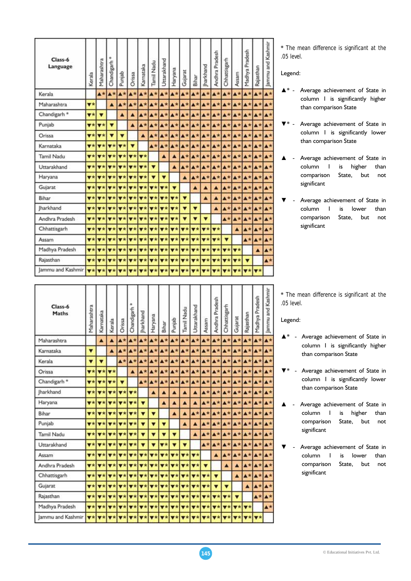| Class-6<br>Language         | Kerala                          | Maharashtra                                                                   | Chandigarh                | Punjab                                          | Orissa                                       | Karnataka                       | Tamil Nadu                                                  | Uttarakhand                                                                                  | Haryana                                                                                                                                                                                                                                                                                                                                                                                                                                                                                    | Gujarat                       | Bihar                 | harkhand                                     | Andhra Pradesh            | Chhattisgarh                                                                            | Assam                           | Madhya Pradesh | Rajasthan          | Jammu and Kashmir        |
|-----------------------------|---------------------------------|-------------------------------------------------------------------------------|---------------------------|-------------------------------------------------|----------------------------------------------|---------------------------------|-------------------------------------------------------------|----------------------------------------------------------------------------------------------|--------------------------------------------------------------------------------------------------------------------------------------------------------------------------------------------------------------------------------------------------------------------------------------------------------------------------------------------------------------------------------------------------------------------------------------------------------------------------------------------|-------------------------------|-----------------------|----------------------------------------------|---------------------------|-----------------------------------------------------------------------------------------|---------------------------------|----------------|--------------------|--------------------------|
| Kerala                      |                                 | $\blacktriangle$ *                                                            | $\blacktriangle\star$     | $\blacktriangle\star$                           | A*                                           |                                 | <b>A*</b> A*                                                |                                                                                              | <b>A*</b> A* A*                                                                                                                                                                                                                                                                                                                                                                                                                                                                            |                               |                       |                                              |                           | $A* A* A* A* A*$                                                                        |                                 |                | <b>A*</b> A*       | <b>A</b> *               |
| Maharashtra                 | $\overline{\mathbf{v}}$ $\star$ |                                                                               | A                         | A*                                              | A*                                           |                                 |                                                             |                                                                                              | <b>A* A* A* A* A*</b>                                                                                                                                                                                                                                                                                                                                                                                                                                                                      |                               |                       |                                              |                           | <b>A*</b> A* A* A* A* A* A*                                                             |                                 |                |                    | A*                       |
| Chandigarh <sup>*</sup>     | $\overline{\mathbf{v}}$ *       | $\overline{\mathbf{v}}$                                                       |                           | Δ                                               | A                                            |                                 | <b>A*</b> A*                                                | A*                                                                                           |                                                                                                                                                                                                                                                                                                                                                                                                                                                                                            | $A*A*$                        |                       |                                              |                           | $A* A* A* A* A* A* A*$                                                                  |                                 |                |                    | $\blacktriangle$ *       |
| Punjab                      | $\overline{\mathbf{v}}$ *       | $\overline{\mathbf{v}}$ $\star$                                               | ▼                         |                                                 | ▲                                            | A*                              | $\blacktriangle$ *                                          | A*                                                                                           | <b>A*</b> A*                                                                                                                                                                                                                                                                                                                                                                                                                                                                               |                               |                       |                                              |                           | <b>A*</b> A* A* A* A* A* A*                                                             |                                 |                |                    | At                       |
| Orissa                      | $\overline{\mathbf{v}}$ $\star$ | $\overline{\mathbf{v}}$ *                                                     | ▼                         | $\blacksquare$                                  |                                              | ▲                               | $\blacktriangle\star$                                       | $\blacktriangle$ *                                                                           |                                                                                                                                                                                                                                                                                                                                                                                                                                                                                            |                               |                       |                                              |                           | <b>A* A*</b> A* A* A* A* A* A* A*                                                       |                                 |                |                    | $\blacktriangle^+$       |
| Karnataka                   |                                 | $\mathbf{v} * \mathbf{v} *$                                                   | $\overline{\mathbf{v}}$   | $\overline{\mathbf{v}}$ *                       | $\overline{\mathbf{v}}$                      |                                 | $\blacktriangle$ *                                          | $A^*$                                                                                        |                                                                                                                                                                                                                                                                                                                                                                                                                                                                                            | <b>A* A*</b>                  |                       |                                              |                           | $\mathbf{A}^{\star}$                                                                    |                                 |                |                    | $\blacktriangle^*$       |
| <b>Tamil Nadu</b>           | $\overline{\mathbf{v}}$ *       | $\overline{\mathbf{v}}$ $\star$                                               | <b>V</b> *                | $\mathbf{v}$ *                                  | $\overline{\mathbf{v}}$ $\star$              | $\overline{\mathbf{v}}$ $\star$ |                                                             | ▲                                                                                            | ▲                                                                                                                                                                                                                                                                                                                                                                                                                                                                                          | $A^*$                         | $\blacktriangle\star$ | <b>A*</b> 4*                                 |                           |                                                                                         |                                 |                | <b>A*</b> A* A* A* | A*                       |
| Uttarakhand                 |                                 | $\mathbf{v}$ $\star$ $\mathbf{v}$ $\star$ $\mathbf{v}$ $\star$                |                           |                                                 | $\mathbf{v}$ * $\mathbf{v}$ * $\mathbf{v}$ * |                                 | $\overline{\mathbf{v}}$                                     |                                                                                              | ▲                                                                                                                                                                                                                                                                                                                                                                                                                                                                                          | $\blacktriangle\star$         | $\blacktriangle$ *    |                                              |                           | <b>A*</b> A* A* A* A* A*                                                                |                                 |                |                    | Æ                        |
| Haryana                     |                                 | $\mathbf{v}$ * $\mathbf{v}$ *                                                 | $\overline{\mathbf{v}}$   | $\overline{\mathbf{v}}$ *                       | $\overline{\mathbf{v}}$ *                    | $\overline{\mathbf{v}}$         | ▼                                                           | v                                                                                            |                                                                                                                                                                                                                                                                                                                                                                                                                                                                                            | ▲                             | $\blacktriangle$ *    | A*                                           |                           | <b>A*</b> A*                                                                            |                                 |                | <b>A*</b> A* A*    | $\blacktriangle$ *       |
| Gujarat                     |                                 | $\mathbf{v}$ * $\mathbf{v}$ *                                                 | $ \mathbf{v}\star $       |                                                 |                                              |                                 |                                                             | $\mathbf{v}\star\mathbf{v}\star\mathbf{v}\star\mathbf{v}\star\mathbf{v}\star\mathbf{v}\star$ | $\overline{\mathbf{v}}$                                                                                                                                                                                                                                                                                                                                                                                                                                                                    |                               | Δ                     | ▲                                            | A                         |                                                                                         | <b>A*</b> A*                    |                | <b>A*</b> A*       | A*                       |
| Bihar                       | $\overline{\mathbf{v}}$ *       | 罗索                                                                            | $\mathbf{v}$ $\star$      | $\mathbf{v}$ *                                  | $\overline{\mathbf{v}}$ $\star$              |                                 | $\mathbf{v}$ * $\mathbf{v}$ *                               | $\overline{\mathbf{v}}$ *                                                                    | $\overline{\mathbf{v}}$ *                                                                                                                                                                                                                                                                                                                                                                                                                                                                  | $\overline{\mathbf{v}}$       |                       | ▲                                            | Â                         | <b>A*</b>                                                                               | A*                              |                | <b>A*</b> A*       | A*                       |
| <b>Iharkhand</b>            |                                 | $\mathbf{v}$ * $\mathbf{v}$ * $\mathbf{v}$ *                                  |                           |                                                 | $\mathbf{v}$ * $\mathbf{v}$ *                |                                 | <b>v</b> * <b>v</b> *                                       | $\overline{v}$ $\star$                                                                       | $\overline{\mathbf{v}}$ *                                                                                                                                                                                                                                                                                                                                                                                                                                                                  | $\overline{\mathbf{v}}$       | v                     |                                              | ▲                         | $\blacktriangle*$                                                                       | A*                              |                | <b>A*</b> A*       | A*                       |
| Andhra Pradesh              |                                 | $\mathbf{v}$ $\mathbf{x}$ $\mathbf{v}$ $\mathbf{x}$ $\mathbf{v}$ $\mathbf{x}$ |                           | $\overline{\mathbf{v}}$ $\overline{\mathbf{x}}$ |                                              |                                 | $\mathbf{v}$ * $\mathbf{v}$ * $\mathbf{v}$ *                |                                                                                              | $\mathbf{v}$ * $\mathbf{v}$ *                                                                                                                                                                                                                                                                                                                                                                                                                                                              | v                             | ▼                     | $\overline{\mathbf{v}}$                      |                           | <b>A*</b>                                                                               | $A^*$                           |                | <b>A*</b> A*       | A*                       |
| Chhattisgarh                |                                 | $\mathbf{v}$ * $\mathbf{v}$ * $\mathbf{v}$ *                                  |                           |                                                 | $\mathbf{v}$ * $\mathbf{v}$ *                |                                 |                                                             |                                                                                              | $\mathbf{v}\star\mathbf{v}\star\mathbf{v}\star\mathbf{v}\star\mathbf{v}\star\mathbf{v}\star$                                                                                                                                                                                                                                                                                                                                                                                               |                               |                       | <b>v</b> * v*                                | $\overline{\mathbf{v}}$ * |                                                                                         | ▲                               |                | <b>A*</b> A*       | $\blacktriangle^*$       |
| Assam                       |                                 | $\mathbf{v}$ * $\mathbf{v}$ *                                                 | $\overline{\mathbf{v}^*}$ |                                                 |                                              |                                 |                                                             |                                                                                              | $\mathbf{v}\star\mathbf{v}\star\mathbf{v}\star\mathbf{v}\star\mathbf{v}\star\mathbf{v}\star\mathbf{v}\star\mathbf{v}\star\mathbf{v}\star\mathbf{v}\star\mathbf{v}\star\mathbf{v}\star\mathbf{v}\star\mathbf{v}\star\mathbf{v}\star\mathbf{v}\star\mathbf{v}\star\mathbf{v}\star\mathbf{v}\star\mathbf{v}\star\mathbf{v}\star\mathbf{v}\star\mathbf{v}\star\mathbf{v}\star\mathbf{v}\star\mathbf{v}\star\mathbf{v}\star\mathbf{v}\star\mathbf{v}\star\mathbf{v}\star\mathbf{v}\star\mathbf$ |                               |                       | $\mathbf{v}$ * $\mathbf{v}$ * $\mathbf{v}$ * |                           | ۷                                                                                       |                                 |                | <b>A*</b> A*       | A*                       |
| Madhya Pradesh              |                                 | $\mathbf{v}$ * $\mathbf{v}$ *                                                 | <b>V</b> *                | $\overline{\mathbf{v}}$ *                       | $V^*$                                        |                                 | $V^*$ $V^*$                                                 | $V^*$                                                                                        |                                                                                                                                                                                                                                                                                                                                                                                                                                                                                            | $\mathbf{v}$ * $\mathbf{v}$ * |                       | $\mathbf{v} * \mathbf{v} *$                  | $\overline{\mathbf{v}^*}$ | $\overline{\mathbf{v}}$ *                                                               | $\overline{\mathbf{v}}$ $\star$ |                | ▲                  | $\blacktriangle^{\star}$ |
| Rajasthan                   |                                 | $\mathbf{v}$ * $\mathbf{v}$ *                                                 | $\mathbf{v}$ *            |                                                 |                                              |                                 | $\mathbf{v}$ * $\mathbf{v}$ * $\mathbf{v}$ * $\mathbf{v}$ * |                                                                                              | $\mathbf{v}$ * $\mathbf{v}$ * $\mathbf{v}$ *                                                                                                                                                                                                                                                                                                                                                                                                                                               |                               |                       |                                              |                           | $\mathbf{v}$ * $\mathbf{v}$ * $\mathbf{v}$ * $\mathbf{v}$ *                             | $\overline{\mathbf{v}}$ $\star$ | ▼              |                    | $\blacktriangle$ *       |
| Jammu and Kashmir v * v * * |                                 |                                                                               |                           |                                                 | $\mathbf{v}$ * $\mathbf{v}$ *                |                                 |                                                             |                                                                                              | $\mathbf{v}$ * $\mathbf{v}$ * $\mathbf{v}$ * $\mathbf{v}$ * $\mathbf{v}$ * $\mathbf{v}$                                                                                                                                                                                                                                                                                                                                                                                                    |                               |                       |                                              |                           | $\mathbf{v}$ * $\mathbf{v}$ * $\mathbf{v}$ * $\mathbf{v}$ * $\mathbf{v}$ * $\mathbf{v}$ |                                 |                | $V^*$ $V^*$        |                          |

\* *The mean difference is significant at the .05 level.* 

Legend:

- ▲\* Average achievement of State in column 1 is significantly higher than comparison State
- Average achievement of State in column 1 is significantly lower than comparison State
- ▲ Average achievement of State in column 1 is higher than comparison State, but not significant
- Average achievement of State in column 1 is lower than comparison State, but not significant

|                   |  | * The mean difference is significant at the |  |
|-------------------|--|---------------------------------------------|--|
| <i>.05 level.</i> |  |                                             |  |

#### Legend:

т л T.

- ▲\* Average achievement of State in column 1 is significantly higher than comparison State
- Average achievement of State in column 1 is significantly lower than comparison State
- Average achievement of State in column 1 is higher than comparison State, but not significant
- Average achievement of State in column 1 is lower than comparison State, but not significant

| Class-6<br>Maths        | Maharashtra               | Karnataka                       | Kerala                          | Orissa                          | Chandigarh                      | harkhand                                  | Haryana                                      | Bihar                      | Punjab                          | <b>Tamil Nadu</b>         | Uttarakhand               | Assam                           | Andhra Pradesh           | Chhattisgarh              | Gujarat                         | Rajasthan                | Madhya Pradesh           | Kashm<br>Jammu and    |
|-------------------------|---------------------------|---------------------------------|---------------------------------|---------------------------------|---------------------------------|-------------------------------------------|----------------------------------------------|----------------------------|---------------------------------|---------------------------|---------------------------|---------------------------------|--------------------------|---------------------------|---------------------------------|--------------------------|--------------------------|-----------------------|
| Maharashtra             |                           | ▲                               | A                               | $\blacktriangle$ *              | $\blacktriangle$ *              | $\blacktriangle$ *                        | $A^*$                                        | $\blacktriangle^{\star}$   | $\blacktriangle^{\star}$        | $\blacktriangle^{\star}$  | $A*$                      | $A^*$                           | $A^*$                    | $A^+$                     | $\blacktriangle$ *              | $\blacktriangle\star$    | $\blacktriangle^*$       | <b>A</b> *            |
| Karnataka               | ۳                         |                                 | ٨                               | <b>A</b> *                      | $\blacktriangle\star$           | $\blacktriangle$ *                        | $\blacktriangle\star$                        | $\blacktriangle$ *         | $\blacktriangle$ *              | $\blacktriangle\star$     | $\blacktriangle\star$     | $\blacktriangle$ *              | $\blacktriangle^*$       | $\blacktriangle\star$     | $\blacktriangle\star$           | $\blacktriangle\star$    | $\blacktriangle$ *       | <b>A</b> *            |
| Kerala                  | $\overline{\textbf{v}}$   | ▼                               |                                 | $\blacktriangle\star$           | $\blacktriangle\star$           | $\blacktriangle\star$                     | $\blacktriangle$ *                           | $\blacktriangle^{\star}$   | $A*$                            | $\blacktriangle\star$     | $\blacktriangle$ *        | $A*$                            | $A*$                     | A*                        | ▲★                              | $\blacktriangle^{\star}$ | A*                       | <b>A*</b>             |
| Orissa                  | $\overline{\mathbf{v}}$ * | $\blacktriangledown \star$      | $\blacktriangledown$ *          |                                 | ▲                               | A <sup>2</sup>                            | $\blacktriangle$ *                           | $\blacktriangle\star$      | $\blacktriangle\star$           | $A^*$                     | $\blacktriangle\star$     | $\blacktriangle\star$           | A <sup>*</sup>           |                           | $A*A*$                          | $\blacktriangle\star$    | A*                       | <b>A*</b>             |
| Chandigarh <sup>*</sup> | $\mathbf{v}$ $\star$      | $V^*$                           | $V^*$                           | $\overline{\mathbf{v}}$         |                                 | <b>A</b> *                                | $\blacktriangle\star$                        | A*                         | $A*$                            | $A*$                      | $\blacktriangle$ *        | $A^*$                           |                          | <b>A*</b> A*              | A*                              | At                       | <b>A</b> *               | $\blacktriangle$ *    |
| Jharkhand               | $\overline{\mathbf{v}}$ * | $\overline{\mathbf{v}}$ *       | $\mathbf{v}$ *                  | $\overline{\mathbf{v}}$ *       | v*                              |                                           | ▲                                            | ▲                          | ▲                               | ▲                         | Δ                         | $\blacktriangle$ *              | A*                       |                           | <b>A*</b> A*                    | $\blacktriangle\star$    | A <sup>*</sup>           | $\blacktriangle$ *    |
| Haryana                 | $\overline{\mathbf{v}}$ * | $\blacktriangledown$ *          | $\overline{\mathbf{v}}$ *       | $\overline{\mathbf{v}}$ $\star$ | $\overline{\mathbf{v}}$ *       | ▼                                         |                                              | ▲                          |                                 | ▲                         |                           | $\blacktriangle^{\star}$        | $\blacktriangle$ *       |                           | <b>A*</b> A*                    | A*                       | $\blacktriangle^+$       | A*                    |
| Bihar                   | $\mathbf{v}$ *            | $V^*$                           | $\overline{\mathbf{v}}$ $\star$ | V <sub>z</sub>                  | $\overline{\mathbf{v}}$ $\star$ | $\overline{\textbf{v}}$                   | ▼                                            |                            | ▲                               | ▲                         | ▲大                        | $A*$                            | At                       | A*                        | <b>A*</b>                       | <b>A*</b> A*             |                          | A*                    |
| Punjab                  | $\overline{\mathbf{v}}$ * | $\overline{\mathbf{v}}$ *       | $\overline{\mathbf{v}}$ *       | $\mathbf{v}$ $\star$            | $\blacktriangledown$ *          | ▼                                         |                                              | ▼                          |                                 | ۸                         | A                         | $\blacktriangle$ *              | A*                       | A*                        | A*                              | A*                       | A*                       | <b>A</b> *            |
| Tamil Nadu              | $\overline{\mathbf{v}}$ * | $\overline{\mathbf{v}}$ $\star$ | $\overline{\mathbf{v}}$ *       | $\mathbf{v}$ *                  | $\blacktriangledown \star$      | $\overline{\mathbf{v}}$                   | ▼                                            | ▼                          | ▼                               |                           | ▲                         | $\blacktriangle$ *              | $\blacktriangle$ *       | $\blacktriangle\star$     | A*                              | AX                       | A*                       | A*                    |
| Uttarakhand             | $\overline{\mathbf{v}}$ * | $\blacktriangledown$ *          | $\nabla^*$                      | $\blacktriangledown$ $\star$    | $\overline{\mathbf{v}}$ *       | ▼                                         | ▼                                            | $\overline{\mathbf{v}}$ *  | $\overline{\mathbf{v}}$         | $\overline{\mathbf{v}}$   |                           | $\blacktriangle$ *              | $\blacktriangle^{\star}$ |                           | <b>A*</b> A*                    | A*                       | $\overline{\phantom{a}}$ | $\blacktriangle\star$ |
| Assam                   | $\overline{\mathbf{v}}$ * | $\overline{\mathbf{v}}$ *       | $\mathbf{v}$ *                  | vx                              | $\overline{\mathbf{v}}$ *       | $\overline{\mathbf{v}}$ $\star$           | $\blacktriangledown$ $\star$                 | $\blacktriangledown \star$ | $\overline{\mathbf{v}}$ *       | $\overline{\mathbf{v}}$ * | $\mathbf{v}$ *            |                                 | ▲                        | A*                        | $A*$                            | $\blacktriangle\star$    | A*                       | <b>A</b> *            |
| Andhra Pradesh          | $\overline{\mathbf{v}}$ * | $\overline{\mathbf{v}}$ $\star$ |                                 | $\mathbf{v}$ * $\mathbf{v}$ *   |                                 |                                           | $\mathbf{v}$ * $\mathbf{v}$ * $\mathbf{v}$ * | $\overline{\mathbf{v}}$ *  | $\overline{\mathbf{v}}$ $\star$ | $\overline{\mathbf{v}}$ * | $\overline{\mathbf{v}}$ * | ▼                               |                          | Δ                         |                                 | A*                       | $\blacktriangle^{\star}$ | A*                    |
| Chhattisgarh            | $\overline{\mathbf{v}}$ * | $\overline{\mathbf{v}}$ *       | $\overline{\mathbf{v}}$ *       | $ \mathbf{v}\star $             | $\blacktriangledown \star$      | $\blacktriangledown \star$                | $\blacktriangledown \star$                   | $\blacktriangledown$ *     | $\blacktriangledown$ *          | $\overline{\mathbf{v}}$ * | $\overline{\mathbf{v}}$ * | $\overline{\mathbf{v}}$ $\star$ | ▼                        |                           |                                 | $\blacktriangle\star$    | $A*$                     | $\blacktriangle$ *    |
| Gujarat                 | $\overline{\mathbf{v}}$ * | $V^+$                           | $\blacktriangledown \star$      | $V^*$                           | $\blacktriangledown$ $\star$    | $\overline{\mathbf{v}}$ *                 | $\overline{\mathbf{v}}$ $\star$              | $\blacktriangledown$ *     | $V^*$                           | $\mathbf{v}$ *            | $\mathbf{v}$ *            | $V^*$                           | $\overline{\textbf{v}}$  | ▼                         |                                 | $\blacktriangle$         | $\blacktriangle^*$       | $\blacktriangle$ *    |
| Rajasthan               | $\overline{\mathbf{v}}$ * | $\blacktriangledown$ *          | $\blacktriangledown \star$      | $\overline{\mathbf{v}}$         |                                 | $\mathbf{v}$ $\star$ $\mathbf{v}$ $\star$ | $\overline{\mathbf{v}}$                      | $\overline{\mathbf{v}}$ *  | $\overline{\mathbf{v}}$ *       | $\overline{\mathbf{v}}$ * | $\blacktriangledown$ *    | $\blacktriangledown$ *          | $\overline{\mathbf{v}}$  | $\overline{\mathbf{v}}$ * | $\overline{\mathbf{v}}$         |                          | $\blacktriangle\star$    | $\blacktriangle\star$ |
| Madhya Pradesh          | $\mathbf{v}$ *            | $V^*$                           | $\overline{\mathbf{v}}$ $\star$ | $\mathbf{v}$ *                  | $\blacktriangledown$ $\star$    | $7*$                                      | $V^*$                                        | $\mathbf{v}$ *             | $\blacktriangledown$ *          | $\overline{\mathbf{v}}$ * | $V^*$                     | $\blacktriangledown$ *          | $V^*$                    | $V^+$                     | $\overline{\mathbf{v}}$ $\star$ | $V^+$                    |                          | $\blacktriangle^*$    |
| Jammu and Kashmir       | $V^*$                     |                                 |                                 |                                 |                                 |                                           |                                              |                            |                                 |                           |                           |                                 |                          |                           |                                 |                          | $V^*$                    |                       |

т

т ℸ ⊤ ┱ т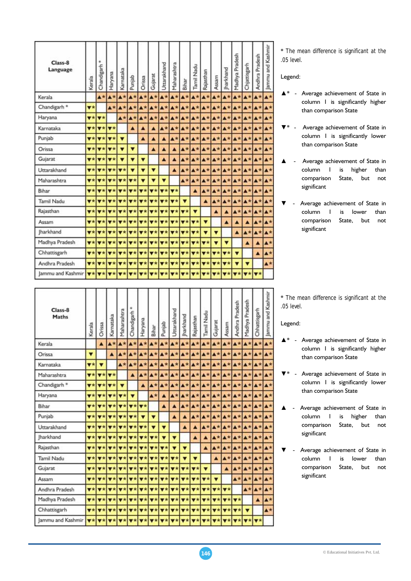| Class-8<br>Language     | Kerala                          | Chandigarh                                          | Haryana                                         | Karnataka                       | Punjab                                                                                                                                                                                                                                                                                                                                                                                                                                                                                     | Orissa                  | Gujarat                                             | Uttarakhand                     | Maharashtra             | Bihar                                        | Tamil Nadu                | Rajasthan                                                   | Assam                           | harkhand                             | Madhya Pradesh            | Chjattisgarh            | Pradesh<br>Andhra | Jammu and Kashmir        |
|-------------------------|---------------------------------|-----------------------------------------------------|-------------------------------------------------|---------------------------------|--------------------------------------------------------------------------------------------------------------------------------------------------------------------------------------------------------------------------------------------------------------------------------------------------------------------------------------------------------------------------------------------------------------------------------------------------------------------------------------------|-------------------------|-----------------------------------------------------|---------------------------------|-------------------------|----------------------------------------------|---------------------------|-------------------------------------------------------------|---------------------------------|--------------------------------------|---------------------------|-------------------------|-------------------|--------------------------|
| Kerala                  |                                 | $\blacktriangle$ *                                  | $\blacktriangle$ *                              | $A^*$                           | $A*$                                                                                                                                                                                                                                                                                                                                                                                                                                                                                       |                         | $A* A*$                                             |                                 | <b>A*</b> A*            | A*                                           | $A*$                      | A <sup>*</sup>                                              |                                 | $\pmb{\Delta}\star\pmb{\Delta}\star$ | $\blacktriangle$ *        | $A*$                    | A*                | <b>A</b> *               |
| Chandigarh <sup>*</sup> | $\overline{\mathbf{v}}$ *       |                                                     | A*                                              | A*                              | A*                                                                                                                                                                                                                                                                                                                                                                                                                                                                                         |                         | <b>A*</b> A*                                        | $\blacktriangle$ $\star$        | $\blacktriangle^+$      | A*                                           | $\blacktriangle$ *        |                                                             | <b>A*</b> A* A*                 |                                      | A*                        |                         | <b>A*</b> A*      | A*                       |
| Haryana                 | $\overline{\mathbf{v}}$ *       | $\overline{\mathbf{v}}$ $\star$                     |                                                 | $\Delta^*$                      | A*                                                                                                                                                                                                                                                                                                                                                                                                                                                                                         | $\blacktriangle$ *      | $\blacktriangle$ *                                  | A*                              | $A*$                    | A*                                           |                           | <b>A*</b> A* A*                                             |                                 | $\blacktriangle\star$                | A*                        |                         | <b>A*</b>         | $\blacktriangle$ *       |
| Karnataka               | $\overline{\mathbf{v}}$ *       | <b>V*</b>                                           | $7*$                                            |                                 | Δ                                                                                                                                                                                                                                                                                                                                                                                                                                                                                          | ▲                       | ▲                                                   | $\blacktriangle$ *              | $\blacktriangle\star$   | A*                                           | $\blacktriangle \star$    |                                                             | <b>A*</b> A* A*                 |                                      |                           | $A* A* A*$              |                   | $\blacktriangle$ *       |
| Punjab                  |                                 | $\mathbf{v}$ * $\mathbf{v}$ *                       | $\overline{\mathbf{v}}$ *                       | $\overline{\mathbf{v}}$         |                                                                                                                                                                                                                                                                                                                                                                                                                                                                                            | A                       |                                                     | $\blacktriangle$                | $\blacktriangle$ *      | A*                                           |                           | <b>A* A* A* A*</b>                                          |                                 |                                      |                           |                         | <b>A*</b> A* A*   | $\blacktriangle$ *       |
| Orissa                  | $\overline{\mathbf{v}}$ *       | 罗家                                                  | $\overline{\mathbf{v}}$ $\star$                 | ▼                               | $\overline{\mathbf{v}}$                                                                                                                                                                                                                                                                                                                                                                                                                                                                    |                         | ▲                                                   | ▲                               | $\blacktriangle$        | $A*$                                         | $\blacktriangle$ *        |                                                             | <b>A*</b> A* A*                 |                                      |                           | $A* A* A*$              |                   | $\blacktriangle$ *       |
| Gujarat                 | $\overline{\mathbf{v}}$ $\star$ | $\mathbf{v}$ *                                      | <b>v</b> *                                      |                                 | ▼                                                                                                                                                                                                                                                                                                                                                                                                                                                                                          | ▼                       |                                                     | $\blacktriangle$                | ▲                       | $A*$                                         | $\blacktriangle$ *        | A*                                                          |                                 | <b>A*</b> A*                         |                           | <b>A*</b> A* A*         |                   | $\blacktriangle^*$       |
| Uttarakhand             |                                 | $\mathbf{v}$ $\mathbf{v}$ $\mathbf{v}$ $\mathbf{v}$ | $\overline{\mathbf{v}^*}$                       | $V^*$                           | $\overline{\textbf{v}}$                                                                                                                                                                                                                                                                                                                                                                                                                                                                    | $\overline{\mathbf{v}}$ | ▼                                                   |                                 | ▲                       | $\blacktriangle\star$                        |                           | <b>A*</b> A* A* A*                                          |                                 |                                      |                           |                         | <b>A*</b> A* A*   | A.                       |
| Maharashtra             |                                 | $\mathbf{v}$ * $\mathbf{v}$ *                       | $V^+$                                           | $\blacktriangledown$ $\star$    | $\overline{\mathbf{v}}$ *                                                                                                                                                                                                                                                                                                                                                                                                                                                                  | Ý                       | v                                                   | ۰                               |                         | $A*$                                         | $A*$                      | A*                                                          | <b>A*</b> A*                    |                                      |                           | $\mathbf{A}^{\star}$    |                   | <b>A</b> *               |
| Bihar                   | $\overline{\mathbf{v}}$ *       | $7*$                                                | $\overline{\mathbf{v}}$ $\overline{\mathbf{x}}$ | $\mathbf{v}$ *                  | $\mathbf{v}$ *                                                                                                                                                                                                                                                                                                                                                                                                                                                                             |                         | $\mathbf{v}$ * $\mathbf{v}$ *                       | $\overline{\mathbf{v}}$ $\star$ | $\overline{\mathbf{v}}$ |                                              | $\blacktriangle$          | $\blacktriangle\star$                                       | A*                              | $\blacktriangle$ *                   |                           |                         | $A*A*A*$          | $\blacktriangle^*$       |
| Tamil Nadu              | $\overline{\mathbf{v}}$ *       | <b>V*</b>                                           | $\overline{\mathbf{v}}$ $\star$                 | $\overline{\mathbf{v}}$ *       | $\mathbf{v}$ *                                                                                                                                                                                                                                                                                                                                                                                                                                                                             |                         | ▼★■▼★                                               | $\overline{\mathbf{v}}$ *       | $\mathbf{v}$            | ▼                                            |                           | ▲                                                           | $A*$                            | A*                                   | A*                        | <b>A*</b> A*            |                   | A*                       |
| Rajasthan               |                                 | <b>v</b> * <b>v</b> *                               | $ \mathbf{v}\star $                             |                                 | $\mathbf{v}$ $\mathbf{v}$ $\mathbf{v}$ $\mathbf{v}$                                                                                                                                                                                                                                                                                                                                                                                                                                        |                         | <b>v</b> * <b>v</b> *                               |                                 | <b>v</b> * v*           | $\overline{\mathbf{v}}$                      | $\blacktriangledown$      |                                                             | Δ                               | Δ                                    | A*                        | A*                      | <b>A*</b>         | $\blacktriangle$ *       |
| Assam                   | $\overline{\mathbf{v}}$ *       | $\overline{\mathbf{v}}$                             | $\mathbf{v}$ $\star$                            |                                 | $\mathbf{v}$ * $\mathbf{v}$ *                                                                                                                                                                                                                                                                                                                                                                                                                                                              |                         | $\mathbf{v}$ $\mathbf{v}$ $\mathbf{v}$ $\mathbf{v}$ |                                 |                         | $\mathbf{v}$ * $\mathbf{v}$ * $\mathbf{v}$ * | $\overline{\mathbf{v}}$ * | $\overline{\mathbf{v}}$                                     |                                 | A                                    |                           |                         | A*                | A*                       |
| <b>Iharkhand</b>        |                                 |                                                     | $\mathbf{v}$ * $\mathbf{v}$ * $\mathbf{v}$ *    |                                 | $\mathbf{v}$ * $\mathbf{v}$ *                                                                                                                                                                                                                                                                                                                                                                                                                                                              |                         | $V^*$ $V^*$                                         |                                 |                         | $\mathbf{v}$ * $\mathbf{v}$ * $\mathbf{v}$ * | $\overline{\mathbf{v}}$ * | $\overline{\textbf{v}}$                                     | ▼                               |                                      | ▲                         | $\blacktriangle^*$      | A*                | $\blacktriangle^*$       |
| Madhya Pradesh          |                                 | $\mathbf{v}$ * $\mathbf{v}$ *                       | $\overline{\mathbf{v}\star}$                    | $\overline{\mathbf{v}}$ $\star$ |                                                                                                                                                                                                                                                                                                                                                                                                                                                                                            |                         | $\mathbf{v}$ * $\mathbf{v}$ * $\mathbf{v}$ *        |                                 |                         | $\mathbf{v}$ * $\mathbf{v}$ * $\mathbf{v}$ * |                           | $\mathbf{v}$ * $\mathbf{v}$ *                               | $\overline{\mathbf{v}}$         | ▼                                    |                           | ▲                       | ▲                 | $\blacktriangle$ *       |
| Chhattisgarh            |                                 | $\mathbf{v}$ * $\mathbf{v}$ *                       | $\overline{\mathbf{v}}$                         |                                 | $\mathbf{v}\star\mathbf{v}\star\mathbf{v}\star\mathbf{v}\star\mathbf{v}\star\mathbf{v}\star\mathbf{v}\star\mathbf{v}\star\mathbf{v}\star\mathbf{v}\star\mathbf{v}\star\mathbf{v}\star\mathbf{v}\star\mathbf{v}\star\mathbf{v}\star\mathbf{v}\star\mathbf{v}\star\mathbf{v}\star\mathbf{v}\star\mathbf{v}\star\mathbf{v}\star\mathbf{v}\star\mathbf{v}\star\mathbf{v}\star\mathbf{v}\star\mathbf{v}\star\mathbf{v}\star\mathbf{v}\star\mathbf{v}\star\mathbf{v}\star\mathbf{v}\star\mathbf$ |                         |                                                     |                                 |                         |                                              |                           | $\mathbf{v}$ * $\mathbf{v}$ * $\mathbf{v}$ * $\mathbf{v}$ * |                                 |                                      | $\overline{\mathbf{v}}$   |                         | Δ                 | $\blacktriangle^{\star}$ |
| Andhra Pradesh          | $\overline{\mathbf{v}}$ *       | $\overline{\mathbf{v}}$                             | 7 <sup>2</sup>                                  |                                 | $\mathbf{v}$ * $\mathbf{v}$ *                                                                                                                                                                                                                                                                                                                                                                                                                                                              |                         | $\mathbf{v}$ * $\mathbf{v}$ *                       | $\overline{\mathbf{v}}$ *       | $\overline{\mathbf{v}}$ | $\overline{\mathbf{v}}$                      | $\overline{\mathbf{v}}$ * | $\overline{\mathbf{v}}$ $\star$                             | $\overline{\mathbf{v}}$ $\star$ | $\overline{\mathbf{v}}$              | $\overline{\mathbf{v}}$   | $\overline{\mathbf{v}}$ |                   | $\blacktriangle^*$       |
| Jammu and Kashmir       |                                 |                                                     |                                                 |                                 | $\mathbf{v}\star\mathbf{v}\star\mathbf{v}\star\mathbf{v}\star\mathbf{v}\star\mathbf{v}\star\mathbf{v}\star\mathbf{v}\star\mathbf{v}\star\mathbf{v}\star\mathbf{v}\star\mathbf{v}\star\mathbf{v}\star\mathbf{v}\star\mathbf{v}\star\mathbf{v}\star\mathbf{v}\star\mathbf{v}\star\mathbf{v}\star\mathbf{v}\star\mathbf{v}\star\mathbf{v}\star\mathbf{v}\star\mathbf{v}\star\mathbf{v}\star\mathbf{v}\star\mathbf{v}\star\mathbf{v}\star\mathbf{v}\star\mathbf{v}\star\mathbf{v}\star\mathbf$ |                         |                                                     |                                 |                         |                                              |                           |                                                             |                                 |                                      | $\overline{\mathbf{v}^*}$ |                         | $V*$ $V*$         |                          |
|                         |                                 |                                                     |                                                 |                                 |                                                                                                                                                                                                                                                                                                                                                                                                                                                                                            |                         |                                                     |                                 |                         |                                              |                           |                                                             |                                 |                                      |                           |                         |                   |                          |

\* *The mean difference is significant at the .05 level.* 

Legend:

- ▲\* Average achievement of State in column 1 is significantly higher than comparison State
- Average achievement of State in column 1 is significantly lower than comparison State
- ▲ Average achievement of State in column 1 is higher than comparison State, but not significant
- Average achievement of State in column 1 is lower than comparison State, but not significant

| Class-8<br>Maths             | Kerala                          | Orissa                       | Karnataka                       | Maharashtra                     | Chandigarh                      | Haryana                                   | Bihar                           | Punjab                    | Jttarakhand                     | harkhand                        | Rajasthan                                  | Tamil Nadu                   | Gujarat                   | Assam                     | Andhra Pradesh           | Madhya Pradesh        | Chhattisgarh          | ammu and Kashmi |
|------------------------------|---------------------------------|------------------------------|---------------------------------|---------------------------------|---------------------------------|-------------------------------------------|---------------------------------|---------------------------|---------------------------------|---------------------------------|--------------------------------------------|------------------------------|---------------------------|---------------------------|--------------------------|-----------------------|-----------------------|-----------------|
| Kerala                       |                                 | ▲                            | $\blacktriangle\star$           | $\blacktriangle\star$           | $\blacktriangle$ *              | $\blacktriangle\star$                     | $\blacktriangle\star$           | $\blacktriangle$ *        | $\blacktriangle$ *              | $\blacktriangle$ *              | $A*$                                       | $\blacktriangle$ *           | $\blacktriangle$ *        | $\blacktriangle$ *        | $\blacktriangle$ *       | $\blacktriangle\star$ | $\blacktriangle^*$    |                 |
| Orissa                       | ۳                               |                              | ▲                               | $\blacktriangle\star$           | $A*$                            | $\blacktriangle\star$                     | $\blacktriangle\star$           | $A^{\star}$               | $\blacktriangle\star$           |                                 | $A*A*$                                     | $\mathbf{A}^{\star}$         | $\blacktriangle\star$     | <b>A</b> *                | AX                       | A*                    | $\blacktriangle^*$    |                 |
| Karnataka                    | $\overline{\mathbf{v}}$ *       | $\overline{\mathbf{v}}$      |                                 | $\blacktriangle\star$           | $\blacktriangle\star$           | $\blacktriangle$ *                        | <b>A</b> *                      | $A*$                      | $A*$                            | $\blacktriangle \star$          | A*                                         | A*                           | <b>A*</b>                 | A*                        | $\blacktriangle$ *       | <b>A*</b>             | A*                    |                 |
| Maharashtra                  | $\mathbf{v}$ *                  | $\overline{\mathbf{v}}$ *    | $\mathbf{v}$ *                  |                                 | Δ                               | $A*$                                      | $\blacktriangle\star$           | $A*$                      | $\blacktriangle^*$              | $A*$                            | A*                                         | $\blacktriangle\star$        | $A*$                      | A                         | $A*$                     | A*                    | A*                    |                 |
| Chandigarh <sup>*</sup>      | $\overline{\mathbf{v}}$ *       | $V^*$                        | $\overline{\mathbf{v}}$ *       | ▼                               |                                 | $\blacktriangle$                          | $\blacktriangle\star$           | ▲★                        | A*                              | $\blacktriangle$ *              | <b>A</b>                                   | A*                           |                           | <b>A*</b> A*              | A*                       | A*                    | A*                    |                 |
| Haryana                      | $\overline{\mathbf{v}}$ *       | $\mathbf{v}$ $\star$         | $\mathbf{v}$ $\star$            | $\blacktriangledown$ *          | ▼                               |                                           | $\blacktriangle\star$           | Δ                         | $\blacktriangle^{\star}$        | A*                              | A*                                         | $\mathbf{A}^{\star}$         | A*                        | $A^*$                     | $\blacktriangle\star$    | <b>A</b> *            | A*                    |                 |
| Bihar                        | $\overline{\mathbf{v}}$ *       | $\mathbf{v}$ *               | $\overline{\mathbf{v}}$ *       | $\mathbf{v}$ *                  | $\overline{\mathbf{v}}$ *       | $\overline{\mathbf{v}}$ $\star$           |                                 | ▲                         | ▲                               | $\blacktriangle$ *              | $\blacktriangle^+$                         | $\blacktriangle^{\star}$     | A*                        | ΔZ                        | A*                       | A*                    | $\blacktriangle^+$    |                 |
| Punjab                       | $\overline{\mathbf{v}}$ $\star$ | $V^{\pm}$                    | $\overline{\mathbf{v}}$         | $V^*$                           | $\overline{\mathbf{v}}$ $\star$ | $\overline{\mathbf{v}}$                   | v                               |                           | ▲                               | ▲                               | ▲木                                         | A*                           | A*                        | <b>A</b> *                | A*                       | A <sup>*</sup>        | ▲ 大                   |                 |
| Uttarakhand                  | $V^+$                           | $\mathbf{v}$ +               | v*                              | $\mathbf{v}$ $\star$            | $\overline{\mathbf{v}}$ *       | 7 <sup>2</sup>                            | $\overline{\mathbf{v}}$         | ▼                         |                                 | ▲                               |                                            | A*                           | AT                        | A*                        | A*                       | A*                    |                       |                 |
| <b>Jharkhand</b>             | $\overline{\mathbf{v}}$ *       | $\overline{\mathbf{v}}$ *    | $\mathbf{v}$ $\star$            | $\mathbf{v}$ *                  | $\blacktriangledown$ *          | $\overline{\mathbf{v}}$ $\star$           | $\overline{\mathbf{v}}$ *       | v                         | ▼                               |                                 | ▲                                          | ▲                            | $\blacktriangle$ $\pi$    | AW                        | A*                       | Ax                    | ▲大                    |                 |
| Rajasthan                    | $\overline{\mathbf{v}}$ *       | $\overline{\mathbf{v}}$ *    | $\nabla x$                      | $\blacktriangledown \star$      | $\overline{\mathbf{v}}$ *       | 文本                                        | $\overline{\mathbf{v}}$ $\star$ | $\mathbf{v}$ *            | $\overline{\mathbf{v}}$         | $\overline{\textbf{v}}$         |                                            | ▲                            | $\blacktriangle\star$     | A*                        | $\blacktriangle^{\star}$ | A*                    | ▲★                    |                 |
| <b>Tamil Nadu</b>            | $\overline{\mathbf{v}}$ *       | $\mathbf{v}$ $\star$         | $\mathbf{v}$ $\star$            | $\mathbf{v}$ $\star$            | $\overline{\mathbf{v}}$ *       | v*                                        | $\overline{\mathbf{v}}$ *       | $\mathbf{v}$ *            | $\mathbf{v}$ $\star$            |                                 |                                            |                              | ▲                         | A*                        | <b>A</b> *               | A*                    | A*                    |                 |
| Gujarat                      | v*                              | $\blacktriangledown$ $\star$ | $\overline{\mathbf{v}}$ $\star$ | $\overline{\mathbf{v}}$ *       |                                 | $\mathbf{v}$ * $\mathbf{v}$ *             | $\overline{\mathbf{v}}$ *       | $\overline{\mathbf{v}}$ * | $\overline{\mathbf{v}}$ $\star$ | $\overline{\mathbf{v}}$ *       | $\overline{\mathbf{v}}$ *                  | $\overline{\mathbf{v}}$      |                           | Δ                         | $A^*$                    | A <sup>*</sup>        | $\blacktriangle\star$ |                 |
| Assam                        | $\overline{\mathbf{v}}$ *       | $\overline{\mathbf{v}}$ *    | $V^+$                           | $\overline{\mathbf{v}}$ $\star$ | $\mathbf{v}$ *                  | $\overline{\mathbf{v}}$ *                 | $\overline{\mathbf{v}}$ *       | $\blacktriangledown$ *    | $\overline{\mathbf{v}}$ $\star$ | $\overline{\mathbf{v}}$ $\star$ | $\mathbf{v}$ *                             | $\blacktriangledown$ $\star$ | $\overline{\mathbf{v}}$   |                           | $\blacktriangle\star$    | $\blacktriangle$ *    | ▲春                    |                 |
| Andhra Pradesh               | $\overline{\mathbf{v}}$ $\star$ |                              | $V^*$ v $*$                     | $\mathbf{v}$ *                  |                                 | $\mathbf{v}$ * $\mathbf{v}$ *             | $\mathbf{v}$ *                  | $\mathbf{v}$ *            | $V^*$                           | $V^*$                           |                                            | $V^*$ $V^*$                  | $\mathbf{v}$ *            | $\overline{\mathbf{v}}$ * |                          | $\blacktriangle$ *    |                       |                 |
| Madhya Pradesh               | $\overline{\mathbf{v}}$ *       | $V^+$                        | <b>V</b> *                      | $\overline{\mathbf{v}}$ *       |                                 | $\mathbf{v}$ $\star$ $\mathbf{v}$ $\star$ | $\overline{\mathbf{v}}$         | $\overline{\mathbf{v}}$ * | $ \mathbf{v}\star $             | $\overline{\mathbf{v}}$ *       | $\blacktriangledown$ *                     | $\overline{\mathbf{v}^*}$    | $\overline{\mathbf{v}}$ * | $\overline{\mathbf{v}}$ * | Vź                       |                       | A                     |                 |
| Chhattisgarh                 | $\overline{\mathbf{v}}$ *       | $\mathbf{v}$ *               | $\mathbf{v}$ $\star$            | $\mathbf{v}$ *                  | $\mathbf{v}$ *                  | $\mathbf{v}$ $\star$                      | $\mathbf{v}$ *                  | $\mathbf{v}$ *            | $\mathbf{v}$ $\star$            | $\mathbf{v}$ *                  | $\mathbf{v}$ *                             | $\overline{\mathbf{v}}$      | $\mathbf{v}$ *            | $V^+$                     | ▼∗                       |                       |                       |                 |
| Jammu and Kashmir <b>V *</b> |                                 |                              | $\mathbf{v}$ $\star$            | $V^*$                           | $V^*$                           | V <sub>k</sub>                            | $V^*$                           | $\overline{\mathbf{v}}$ * | $V^*$                           | $V^*$                           | $\overline{\mathbf{v}}$ $\dot{\mathbf{x}}$ | $V^*$                        | $\mathbf{v}$ $\star$      | $\mathbf{v}$ $\star$      |                          | $\mathbf{v}$ $\star$  | $\mathbf{v}$ $\star$  |                 |

\* *The mean difference is significant at the .05 level.* 

Legend:

- ▲\* Average achievement of State in column 1 is significantly higher than comparison State
- Average achievement of State in column 1 is significantly lower than comparison State
- ▲ Average achievement of State in column 1 is higher than comparison State, but not significant
- Average achievement of State in column 1 is lower than comparison State, but not significant

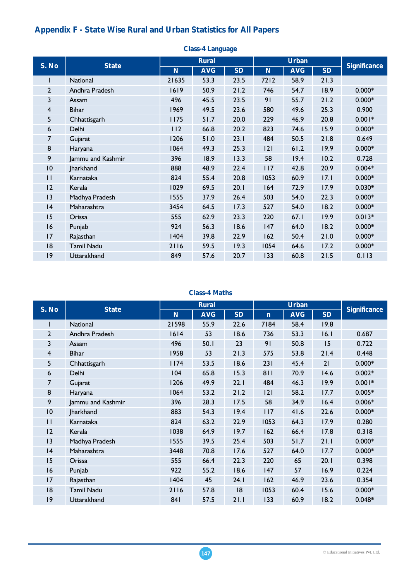# **Appendix F - State Wise Rural and Urban Statistics for All Papers**

| onass i mangaago |                   |       |              |           |             |              |           |                     |  |
|------------------|-------------------|-------|--------------|-----------|-------------|--------------|-----------|---------------------|--|
| S. No            | <b>State</b>      |       | <b>Rural</b> |           |             | <b>Urban</b> |           | <b>Significance</b> |  |
|                  |                   | N     | <b>AVG</b>   | <b>SD</b> | $\mathbf N$ | <b>AVG</b>   | <b>SD</b> |                     |  |
| ı                | National          | 21635 | 53.3         | 23.5      | 7212        | 58.9         | 21.3      |                     |  |
| $\overline{2}$   | Andhra Pradesh    | 1619  | 50.9         | 21.2      | 746         | 54.7         | 18.9      | $0.000*$            |  |
| 3                | Assam             | 496   | 45.5         | 23.5      | 91          | 55.7         | 21.2      | $0.000*$            |  |
| $\overline{4}$   | <b>Bihar</b>      | 1969  | 49.5         | 23.6      | 580         | 49.6         | 25.3      | 0.900               |  |
| 5                | Chhattisgarh      | 1175  | 51.7         | 20.0      | 229         | 46.9         | 20.8      | $0.001*$            |  |
| 6                | Delhi             | 112   | 66.8         | 20.2      | 823         | 74.6         | 15.9      | $0.000*$            |  |
| 7                | Gujarat           | 1206  | 51.0         | 23.1      | 484         | 50.5         | 21.8      | 0.649               |  |
| 8                | Haryana           | 1064  | 49.3         | 25.3      | 2           | 61.2         | 19.9      | $0.000*$            |  |
| 9                | Jammu and Kashmir | 396   | 18.9         | 13.3      | 58          | 19.4         | 10.2      | 0.728               |  |
| 10               | <b>Jharkhand</b>  | 888   | 48.9         | 22.4      | 117         | 42.8         | 20.9      | $0.004*$            |  |
| П                | Karnataka         | 824   | 55.4         | 20.8      | 1053        | 60.9         | 17.1      | $0.000*$            |  |
| 12               | Kerala            | 1029  | 69.5         | 20.1      | 164         | 72.9         | 17.9      | $0.030*$            |  |
| 3                | Madhya Pradesh    | 1555  | 37.9         | 26.4      | 503         | 54.0         | 22.3      | $0.000*$            |  |
| 4                | Maharashtra       | 3454  | 64.5         | 17.3      | 527         | 54.0         | 18.2      | $0.000*$            |  |
| 15               | Orissa            | 555   | 62.9         | 23.3      | 220         | 67.1         | 19.9      | $0.013*$            |  |
| 16               | Punjab            | 924   | 56.3         | 18.6      | 147         | 64.0         | 18.2      | $0.000*$            |  |
| 17               | Rajasthan         | 1404  | 39.8         | 22.9      | 162         | 50.4         | 21.0      | $0.000*$            |  |
| 18               | <b>Tamil Nadu</b> | 2116  | 59.5         | 19.3      | 1054        | 64.6         | 17.2      | $0.000*$            |  |
| 9                | Uttarakhand       | 849   | 57.6         | 20.7      | 133         | 60.8         | 21.5      | 0.113               |  |

### **Class-4 Language**

### **Class-4 Maths**

|       |                   |       | <b>Rural</b> |           |              | <b>Urban</b> |           |                     |
|-------|-------------------|-------|--------------|-----------|--------------|--------------|-----------|---------------------|
| S. No | <b>State</b>      | N     | <b>AVG</b>   | <b>SD</b> | $\mathsf{n}$ | <b>AVG</b>   | <b>SD</b> | <b>Significance</b> |
|       | National          | 21598 | 55.9         | 22.6      | 7184         | 58.4         | 19.8      |                     |
| 2     | Andhra Pradesh    | 1614  | 53           | 18.6      | 736          | 53.3         | 16.1      | 0.687               |
| 3     | Assam             | 496   | 50.1         | 23        | 91           | 50.8         | 15        | 0.722               |
| 4     | <b>Bihar</b>      | 1958  | 53           | 21.3      | 575          | 53.8         | 21.4      | 0.448               |
| 5     | Chhattisgarh      | 74    | 53.5         | 18.6      | 231          | 45.4         | 21        | $0.000*$            |
| 6     | Delhi             | 104   | 65.8         | 15.3      | 811          | 70.9         | 14.6      | $0.002*$            |
| 7     | Gujarat           | 1206  | 49.9         | 22.1      | 484          | 46.3         | 19.9      | $0.001*$            |
| 8     | Haryana           | 1064  | 53.2         | 21.2      | 2            | 58.2         | 17.7      | $0.005*$            |
| 9     | Jammu and Kashmir | 396   | 28.3         | 17.5      | 58           | 34.9         | 16.4      | $0.006*$            |
| 0     | <b>Jharkhand</b>  | 883   | 54.3         | 19.4      | 117          | 41.6         | 22.6      | $0.000*$            |
| П     | Karnataka         | 824   | 63.2         | 22.9      | 1053         | 64.3         | 17.9      | 0.280               |
| 12    | Kerala            | 1038  | 64.9         | 19.7      | 162          | 66.4         | 17.8      | 0.318               |
| 3     | Madhya Pradesh    | 1555  | 39.5         | 25.4      | 503          | 51.7         | 21.1      | $0.000*$            |
| 4     | Maharashtra       | 3448  | 70.8         | 17.6      | 527          | 64.0         | 17.7      | $0.000*$            |
| 15    | Orissa            | 555   | 66.4         | 22.3      | 220          | 65           | 20.1      | 0.398               |
| 16    | Punjab            | 922   | 55.2         | 18.6      | 147          | 57           | 16.9      | 0.224               |
| 17    | Rajasthan         | 1404  | 45           | 24.1      | 162          | 46.9         | 23.6      | 0.354               |
| 8     | <b>Tamil Nadu</b> | 2116  | 57.8         | 18        | 1053         | 60.4         | 15.6      | $0.000*$            |
| 9     | Uttarakhand       | 841   | 57.5         | 21.1      | 133          | 60.9         | 18.2      | $0.048*$            |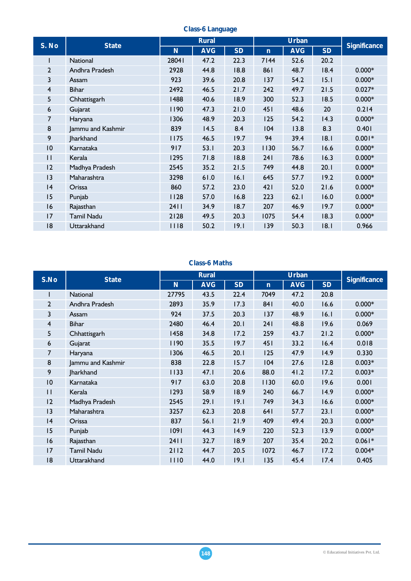| S. No        | <b>State</b>      |       | <b>Rural</b> |           |              | <b>Urban</b> |           | <b>Significance</b> |
|--------------|-------------------|-------|--------------|-----------|--------------|--------------|-----------|---------------------|
|              |                   | N     | <b>AVG</b>   | <b>SD</b> | $\mathsf{n}$ | <b>AVG</b>   | <b>SD</b> |                     |
| L            | <b>National</b>   | 28041 | 47.2         | 22.3      | 7144         | 52.6         | 20.2      |                     |
| $\mathbf{2}$ | Andhra Pradesh    | 2928  | 44.8         | 18.8      | 861          | 48.7         | 18.4      | $0.000*$            |
| 3            | Assam             | 923   | 39.6         | 20.8      | 137          | 54.2         | 15.1      | $0.000*$            |
| 4            | <b>Bihar</b>      | 2492  | 46.5         | 21.7      | 242          | 49.7         | 21.5      | $0.027*$            |
| 5            | Chhattisgarh      | 1488  | 40.6         | 18.9      | 300          | 52.3         | 18.5      | $0.000*$            |
| 6            | Gujarat           | 1190  | 47.3         | 21.0      | 451          | 48.6         | 20        | 0.214               |
| 7            | Haryana           | 1306  | 48.9         | 20.3      | 125          | 54.2         | 14.3      | $0.000*$            |
| 8            | Jammu and Kashmir | 839   | 14.5         | 8.4       | 104          | 13.8         | 8.3       | 0.401               |
| 9            | <b>Jharkhand</b>  | 1175  | 46.5         | 19.7      | 94           | 39.4         | 18.1      | $0.001*$            |
| 10           | Karnataka         | 917   | 53.1         | 20.3      | 1130         | 56.7         | 16.6      | $0.000*$            |
| П            | Kerala            | 1295  | 71.8         | 18.8      | 241          | 78.6         | 16.3      | $0.000*$            |
| 12           | Madhya Pradesh    | 2545  | 35.2         | 21.5      | 749          | 44.8         | 20.1      | $0.000*$            |
| 3            | Maharashtra       | 3298  | 61.0         | 16.1      | 645          | 57.7         | 19.2      | $0.000*$            |
| 4            | Orissa            | 860   | 57.2         | 23.0      | 421          | 52.0         | 21.6      | $0.000*$            |
| 15           | Punjab            | 1128  | 57.0         | 16.8      | 223          | 62.1         | 16.0      | $0.000*$            |
| 16           | Rajasthan         | 2411  | 34.9         | 18.7      | 207          | 46.9         | 19.7      | $0.000*$            |
| 17           | Tamil Nadu        | 2128  | 49.5         | 20.3      | 1075         | 54.4         | 18.3      | $0.000*$            |
| 18           | Uttarakhand       | 1118  | 50.2         | 19.1      | 139          | 50.3         | 8.1       | 0.966               |

#### **Class-6 Language**

## **Class-6 Maths**

| S.No            |                   |       | <b>Rural</b> |           |              | <b>Urban</b> |           | <b>Significance</b> |  |
|-----------------|-------------------|-------|--------------|-----------|--------------|--------------|-----------|---------------------|--|
|                 | <b>State</b>      | N     | <b>AVG</b>   | <b>SD</b> | $\mathsf{n}$ | <b>AVG</b>   | <b>SD</b> |                     |  |
|                 | <b>National</b>   | 27795 | 43.5         | 22.4      | 7049         | 47.2         | 20.8      |                     |  |
| $\overline{2}$  | Andhra Pradesh    | 2893  | 35.9         | 17.3      | 841          | 40.0         | 16.6      | $0.000*$            |  |
| 3               | Assam             | 924   | 37.5         | 20.3      | 137          | 48.9         | 16.1      | $0.000*$            |  |
| $\overline{4}$  | <b>Bihar</b>      | 2480  | 46.4         | 20.1      | 241          | 48.8         | 19.6      | 0.069               |  |
| 5               | Chhattisgarh      | 1458  | 34.8         | 17.2      | 259          | 43.7         | 21.2      | $0.000*$            |  |
| 6               | Gujarat           | 1190  | 35.5         | 19.7      | 451          | 33.2         | 16.4      | 0.018               |  |
| 7               | Haryana           | 1306  | 46.5         | 20.1      | 125          | 47.9         | 14.9      | 0.330               |  |
| 8               | Jammu and Kashmir | 838   | 22.8         | 15.7      | 104          | 27.6         | 12.8      | $0.003*$            |  |
| 9               | <b>Jharkhand</b>  | 1133  | 47.1         | 20.6      | 88.0         | 41.2         | 17.2      | $0.003*$            |  |
| $\overline{10}$ | Karnataka         | 917   | 63.0         | 20.8      | 1130         | 60.0         | 19.6      | 0.001               |  |
| П               | Kerala            | 1293  | 58.9         | 18.9      | 240          | 66.7         | 14.9      | $0.000*$            |  |
| 2               | Madhya Pradesh    | 2545  | 29.1         | 19.1      | 749          | 34.3         | 16.6      | $0.000*$            |  |
| 3               | Maharashtra       | 3257  | 62.3         | 20.8      | 641          | 57.7         | 23.1      | $0.000*$            |  |
| 4               | Orissa            | 837   | 56.1         | 21.9      | 409          | 49.4         | 20.3      | $0.000*$            |  |
| 15              | Punjab            | 1091  | 44.3         | 14.9      | 220          | 52.3         | 13.9      | $0.000*$            |  |
| 16              | Rajasthan         | 2411  | 32.7         | 18.9      | 207          | 35.4         | 20.2      | $0.061*$            |  |
| 17              | <b>Tamil Nadu</b> | 2112  | 44.7         | 20.5      | 1072         | 46.7         | 17.2      | $0.004*$            |  |
| 18              | Uttarakhand       | 1110  | 44.0         | 19.1      | 135          | 45.4         | 17.4      | 0.405               |  |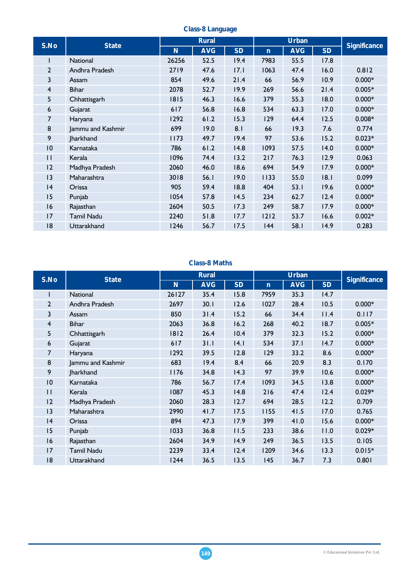| S.No | <b>State</b>      |       | <b>Rural</b> |           |              | <b>Urban</b> |           |                     |  |
|------|-------------------|-------|--------------|-----------|--------------|--------------|-----------|---------------------|--|
|      |                   | N     | <b>AVG</b>   | <b>SD</b> | $\mathsf{n}$ | <b>AVG</b>   | <b>SD</b> | <b>Significance</b> |  |
|      | <b>National</b>   | 26256 | 52.5         | 19.4      | 7983         | 55.5         | 17.8      |                     |  |
| 2    | Andhra Pradesh    | 2719  | 47.6         | 17.1      | 1063         | 47.4         | 16.0      | 0.812               |  |
| 3    | Assam             | 854   | 49.6         | 21.4      | 66           | 56.9         | 10.9      | $0.000*$            |  |
| 4    | <b>Bihar</b>      | 2078  | 52.7         | 19.9      | 269          | 56.6         | 21.4      | $0.005*$            |  |
| 5    | Chhattisgarh      | 1815  | 46.3         | 16.6      | 379          | 55.3         | 18.0      | $0.000*$            |  |
| 6    | Gujarat           | 617   | 56.8         | 16.8      | 534          | 63.3         | 17.0      | $0.000*$            |  |
| 7    | Haryana           | 1292  | 61.2         | 15.3      | 129          | 64.4         | 12.5      | $0.008*$            |  |
| 8    | Jammu and Kashmir | 699   | 19.0         | 8.1       | 66           | 19.3         | 7.6       | 0.774               |  |
| 9    | <b>Jharkhand</b>  | 1173  | 49.7         | 19.4      | 97           | 53.6         | 15.2      | $0.023*$            |  |
| 10   | Karnataka         | 786   | 61.2         | 14.8      | 1093         | 57.5         | 14.0      | $0.000*$            |  |
| П    | Kerala            | 1096  | 74.4         | 13.2      | 217          | 76.3         | 12.9      | 0.063               |  |
| 12   | Madhya Pradesh    | 2060  | 46.0         | 18.6      | 694          | 54.9         | 17.9      | $0.000*$            |  |
| 3    | Maharashtra       | 3018  | 56.1         | 19.0      | 1133         | 55.0         | 18.1      | 0.099               |  |
| 4    | Orissa            | 905   | 59.4         | 18.8      | 404          | 53.1         | 19.6      | $0.000*$            |  |
| 15   | Punjab            | 1054  | 57.8         | 14.5      | 234          | 62.7         | 12.4      | $0.000*$            |  |
| 16   | Rajasthan         | 2604  | 50.5         | 17.3      | 249          | 58.7         | 17.9      | $0.000*$            |  |
| 17   | <b>Tamil Nadu</b> | 2240  | 51.8         | 17.7      | $1212$       | 53.7         | 16.6      | $0.002*$            |  |
| 18   | Uttarakhand       | 1246  | 56.7         | 17.5      | 144          | 58.1         | 14.9      | 0.283               |  |

#### **Class-8 Language**

## **Class-8 Maths**

| S.No            |                   |       | <b>Rural</b> |           |              | <b>Urban</b> |           | <b>Significance</b> |  |
|-----------------|-------------------|-------|--------------|-----------|--------------|--------------|-----------|---------------------|--|
|                 | <b>State</b>      | N     | <b>AVG</b>   | <b>SD</b> | $\mathsf{n}$ | <b>AVG</b>   | <b>SD</b> |                     |  |
|                 | <b>National</b>   | 26127 | 35.4         | 15.8      | 7959         | 35.3         | 14.7      |                     |  |
| $\overline{2}$  | Andhra Pradesh    | 2697  | 30.1         | 12.6      | 1027         | 28.4         | 10.5      | $0.000*$            |  |
| 3               | Assam             | 850   | 31.4         | 15.2      | 66           | 34.4         | 11.4      | 0.117               |  |
| $\overline{4}$  | <b>Bihar</b>      | 2063  | 36.8         | 16.2      | 268          | 40.2         | 18.7      | $0.005*$            |  |
| 5               | Chhattisgarh      | 1812  | 26.4         | 10.4      | 379          | 32.3         | 15.2      | $0.000*$            |  |
| 6               | Gujarat           | 617   | 31.1         | 4.1       | 534          | 37.1         | 14.7      | $0.000*$            |  |
| 7               | Haryana           | 1292  | 39.5         | 12.8      | 129          | 33.2         | 8.6       | $0.000*$            |  |
| 8               | Jammu and Kashmir | 683   | 19.4         | 8.4       | 66           | 20.9         | 8.3       | 0.170               |  |
| 9               | <b>Jharkhand</b>  | 1176  | 34.8         | 14.3      | 97           | 39.9         | 10.6      | $0.000*$            |  |
| $\overline{10}$ | Karnataka         | 786   | 56.7         | 17.4      | 1093         | 34.5         | 13.8      | $0.000*$            |  |
| П               | Kerala            | 1087  | 45.3         | 14.8      | 216          | 47.4         | 12.4      | $0.029*$            |  |
| 2               | Madhya Pradesh    | 2060  | 28.3         | 12.7      | 694          | 28.5         | 12.2      | 0.709               |  |
| 3               | Maharashtra       | 2990  | 41.7         | 17.5      | 1155         | 41.5         | 17.0      | 0.765               |  |
| 4               | Orissa            | 894   | 47.3         | 17.9      | 399          | 41.0         | 15.6      | $0.000*$            |  |
| 15              | Punjab            | 1033  | 36.8         | 11.5      | 233          | 38.6         | 11.0      | $0.029*$            |  |
| 16              | Rajasthan         | 2604  | 34.9         | 14.9      | 249          | 36.5         | 13.5      | 0.105               |  |
| 17              | <b>Tamil Nadu</b> | 2239  | 33.4         | 12.4      | 1209         | 34.6         | 13.3      | $0.015*$            |  |
| 18              | Uttarakhand       | 1244  | 36.5         | 13.5      | 145          | 36.7         | 7.3       | 0.801               |  |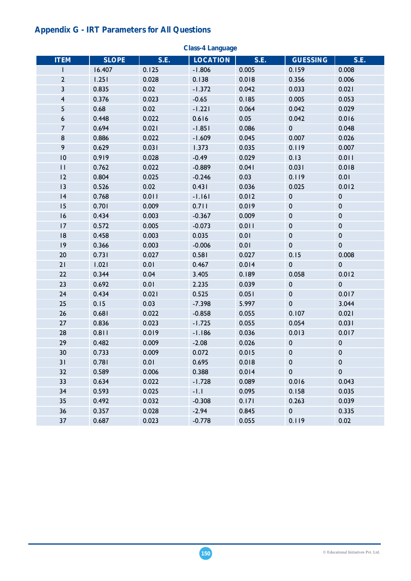# **Appendix G - IRT Parameters for All Questions**

| <b>ITEM</b>             | <b>SLOPE</b> | S.E.  | ulass-4 Lanyuay <del>o</del><br><b>LOCATION</b> | S.E.  | <b>GUESSING</b> | S.E.        |
|-------------------------|--------------|-------|-------------------------------------------------|-------|-----------------|-------------|
| L                       | 16.407       | 0.125 | $-1.806$                                        | 0.005 | 0.159           | 0.008       |
| 2                       | 1.251        | 0.028 | 0.138                                           | 0.018 | 0.356           | 0.006       |
| 3                       | 0.835        | 0.02  | $-1.372$                                        | 0.042 | 0.033           | 0.021       |
| $\overline{\mathbf{4}}$ | 0.376        | 0.023 | $-0.65$                                         | 0.185 | 0.005           | 0.053       |
| 5                       | 0.68         | 0.02  | $-1.221$                                        | 0.064 | 0.042           | 0.029       |
| $\boldsymbol{6}$        | 0.448        | 0.022 | 0.616                                           | 0.05  | 0.042           | 0.016       |
| $\overline{7}$          | 0.694        | 0.021 | $-1.851$                                        | 0.086 | $\pmb{0}$       | 0.048       |
| $\bf 8$                 | 0.886        | 0.022 | $-1.609$                                        | 0.045 | 0.007           | 0.026       |
| 9                       | 0.629        | 0.031 | 1.373                                           | 0.035 | 0.119           | 0.007       |
| $\overline{10}$         | 0.919        | 0.028 | $-0.49$                                         | 0.029 | 0.13            | 0.011       |
| $\mathbf{H}$            | 0.762        | 0.022 | $-0.889$                                        | 0.041 | 0.031           | 0.018       |
| 12                      | 0.804        | 0.025 | $-0.246$                                        | 0.03  | 0.119           | 0.01        |
| 13                      | 0.526        | 0.02  | 0.431                                           | 0.036 | 0.025           | 0.012       |
| 4                       | 0.768        | 0.011 | $-1.161$                                        | 0.012 | $\pmb{0}$       | $\pmb{0}$   |
| 15                      | 0.701        | 0.009 | 0.711                                           | 0.019 | $\pmb{0}$       | $\pmb{0}$   |
| 16                      | 0.434        | 0.003 | $-0.367$                                        | 0.009 | $\pmb{0}$       | $\pmb{0}$   |
| 17                      | 0.572        | 0.005 | $-0.073$                                        | 0.011 | $\pmb{0}$       | $\pmb{0}$   |
| 8                       | 0.458        | 0.003 | 0.035                                           | 0.01  | $\pmb{0}$       | $\pmb{0}$   |
| 9                       | 0.366        | 0.003 | $-0.006$                                        | 0.01  | $\pmb{0}$       | $\pmb{0}$   |
| 20                      | 0.731        | 0.027 | 0.581                                           | 0.027 | 0.15            | 0.008       |
| 21                      | 1.021        | 0.01  | 0.467                                           | 0.014 | $\pmb{0}$       | $\pmb{0}$   |
| 22                      | 0.344        | 0.04  | 3.405                                           | 0.189 | 0.058           | 0.012       |
| 23                      | 0.692        | 0.01  | 2.235                                           | 0.039 | $\pmb{0}$       | $\pmb{0}$   |
| 24                      | 0.434        | 0.021 | 0.525                                           | 0.051 | $\pmb{0}$       | 0.017       |
| 25                      | 0.15         | 0.03  | $-7.398$                                        | 5.997 | $\pmb{0}$       | 3.044       |
| 26                      | 0.681        | 0.022 | $-0.858$                                        | 0.055 | 0.107           | 0.021       |
| 27                      | 0.836        | 0.023 | $-1.725$                                        | 0.055 | 0.054           | 0.031       |
| 28                      | 0.811        | 0.019 | $-1.186$                                        | 0.036 | 0.013           | 0.017       |
| 29                      | 0.482        | 0.009 | $-2.08$                                         | 0.026 | $\pmb{0}$       | $\pmb{0}$   |
| 30                      | 0.733        | 0.009 | 0.072                                           | 0.015 | $\pmb{0}$       | 0           |
| 31                      | 0.781        | 0.01  | 0.695                                           | 0.018 | $\pmb{0}$       | $\mathbf 0$ |
| 32                      | 0.589        | 0.006 | 0.388                                           | 0.014 | $\pmb{0}$       | $\mathbf 0$ |
| 33                      | 0.634        | 0.022 | $-1.728$                                        | 0.089 | 0.016           | 0.043       |
| 34                      | 0.593        | 0.025 | $-1.1$                                          | 0.095 | 0.158           | 0.035       |
| 35                      | 0.492        | 0.032 | $-0.308$                                        | 0.171 | 0.263           | 0.039       |
| 36                      | 0.357        | 0.028 | $-2.94$                                         | 0.845 | $\pmb{0}$       | 0.335       |
| 37                      | 0.687        | 0.023 | $-0.778$                                        | 0.055 | 0.119           | 0.02        |

**Class-4 Language**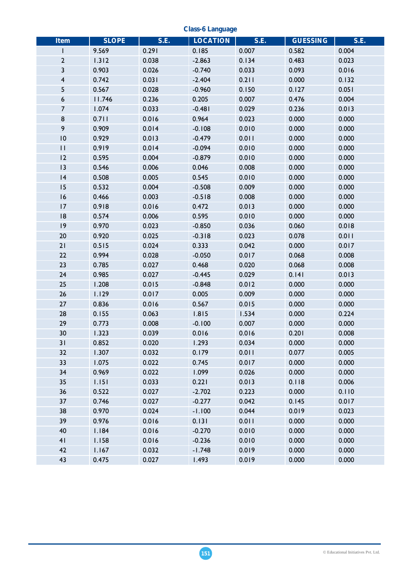**Class-6 Language** 

| <b>Item</b>      | <b>SLOPE</b>   | <b>S.E.</b>    | <b>LOCATION</b>      | S.E.           | <b>GUESSING</b> | <b>S.E.</b>    |
|------------------|----------------|----------------|----------------------|----------------|-----------------|----------------|
| ı                | 9.569          | 0.291          | 0.185                | 0.007          | 0.582           | 0.004          |
| $\mathbf{2}$     | 1.312          | 0.038          | $-2.863$             | 0.134          | 0.483           | 0.023          |
| 3                | 0.903          | 0.026          | $-0.740$             | 0.033          | 0.093           | 0.016          |
| 4                | 0.742          | 0.031          | $-2.404$             | 0.211          | 0.000           | 0.132          |
| 5                | 0.567          | 0.028          | $-0.960$             | 0.150          | 0.127           | 0.051          |
| $\boldsymbol{6}$ | 11.746         | 0.236          | 0.205                | 0.007          | 0.476           | 0.004          |
| $\overline{7}$   | 1.074          | 0.033          | $-0.481$             | 0.029          | 0.236           | 0.013          |
| 8                |                |                |                      |                | 0.000           | 0.000          |
| 9                | 0.711<br>0.909 | 0.016          | 0.964                | 0.023          |                 |                |
| 0                | 0.929          | 0.014<br>0.013 | $-0.108$<br>$-0.479$ | 0.010<br>0.011 | 0.000<br>0.000  | 0.000<br>0.000 |
|                  |                |                |                      |                |                 |                |
| $\mathbf{H}$     | 0.919          | 0.014          | $-0.094$             | 0.010          | 0.000           | 0.000          |
| 12               | 0.595          | 0.004          | $-0.879$             | 0.010          | 0.000           | 0.000          |
| 3                | 0.546          | 0.006          | 0.046                | 0.008          | 0.000           | 0.000          |
| 4                | 0.508          | 0.005          | 0.545                | 0.010          | 0.000           | 0.000          |
| 15               | 0.532          | 0.004          | $-0.508$             | 0.009          | 0.000           | 0.000          |
| 16               | 0.466          | 0.003          | $-0.518$             | 0.008          | 0.000           | 0.000          |
| 17               | 0.918          | 0.016          | 0.472                | 0.013          | 0.000           | 0.000          |
| 8                | 0.574          | 0.006          | 0.595                | 0.010          | 0.000           | 0.000          |
| 9                | 0.970          | 0.023          | $-0.850$             | 0.036          | 0.060           | 0.018          |
| 20               | 0.920          | 0.025          | $-0.318$             | 0.023          | 0.078           | 0.011          |
| 21               | 0.515          | 0.024          | 0.333                | 0.042          | 0.000           | 0.017          |
| 22               | 0.994          | 0.028          | $-0.050$             | 0.017          | 0.068           | 0.008          |
| 23               | 0.785          | 0.027          | 0.468                | 0.020          | 0.068           | 0.008          |
| 24               | 0.985          | 0.027          | $-0.445$             | 0.029          | 0.141           | 0.013          |
| 25               | 1.208          | 0.015          | $-0.848$             | 0.012          | 0.000           | 0.000          |
| 26               | 1.129          | 0.017          | 0.005                | 0.009          | 0.000           | 0.000          |
| 27               | 0.836          | 0.016          | 0.567                | 0.015          | 0.000           | 0.000          |
| 28               | 0.155          | 0.063          | 1.815                | 1.534          | 0.000           | 0.224          |
| 29               | 0.773          | 0.008          | $-0.100$             | 0.007          | 0.000           | 0.000          |
| 30               | 1.323          | 0.039          | 0.016                | 0.016          | 0.201           | 0.008          |
| 31               | 0.852          | 0.020          | 1.293                | 0.034          | 0.000           | 0.000          |
| 32               | 1.307          | 0.032          | 0.179                | 0.011          | 0.077           | 0.005          |
| 33               | 1.075          | 0.022          | 0.745                | 0.017          | 0.000           | 0.000          |
| 34               | 0.969          | 0.022          | 1.099                | 0.026          | 0.000           | 0.000          |
| 35               | 1.151          | 0.033          | 0.221                | 0.013          | 0.118           | 0.006          |
| 36               | 0.522          | 0.027          | $-2.702$             | 0.223          | 0.000           | 0.110          |
| 37               | 0.746          | 0.027          | $-0.277$             | 0.042          | 0.145           | 0.017          |
| 38               | 0.970          | 0.024          | $-1.100$             | 0.044          | 0.019           | 0.023          |
| 39               | 0.976          | 0.016          | 0.131                | 0.011          | 0.000           | 0.000          |
| 40               | 1.184          | 0.016          | $-0.270$             | 0.010          | 0.000           | 0.000          |
| 41               | 1.158          | 0.016          | $-0.236$             | 0.010          | 0.000           | 0.000          |
| 42               | 1.167          | 0.032          | $-1.748$             | 0.019          | 0.000           | 0.000          |
| 43               | 0.475          | 0.027          | 1.493                | 0.019          | 0.000           | 0.000          |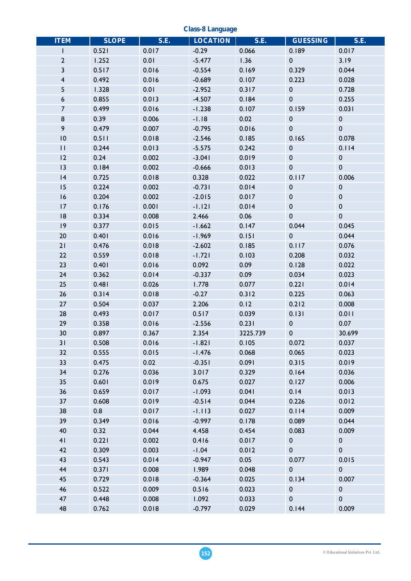**Class-8 Language** 

| <b>ITEM</b>     | <b>SLOPE</b> | S.E.  | <b>LOCATION</b> | <b>S.E.</b> | <b>GUESSING</b> | <b>S.E.</b> |
|-----------------|--------------|-------|-----------------|-------------|-----------------|-------------|
| $\mathbf{I}$    | 0.521        | 0.017 | $-0.29$         | 0.066       | 0.189           | 0.017       |
| $\overline{2}$  | 1.252        | 0.01  | $-5.477$        | 1.36        | $\pmb{0}$       | 3.19        |
| $\mathbf{3}$    | 0.517        | 0.016 | $-0.554$        | 0.169       | 0.329           | 0.044       |
| $\overline{4}$  | 0.492        | 0.016 | $-0.689$        | 0.107       | 0.223           | 0.028       |
| 5               | 1.328        | 0.01  | $-2.952$        | 0.317       | $\pmb{0}$       | 0.728       |
| 6               | 0.855        | 0.013 | $-4.507$        | 0.184       | $\pmb{0}$       | 0.255       |
| $\overline{7}$  | 0.499        | 0.016 | $-1.238$        | 0.107       | 0.159           | 0.031       |
| $\bf 8$         | 0.39         | 0.006 | $-1.18$         | 0.02        | $\pmb{0}$       | $\pmb{0}$   |
| 9               | 0.479        | 0.007 | $-0.795$        | 0.016       | $\pmb{0}$       | $\pmb{0}$   |
| $\overline{10}$ | 0.511        | 0.018 | $-2.546$        | 0.185       | 0.165           | 0.078       |
| $\mathbf{H}$    | 0.244        | 0.013 | $-5.575$        | 0.242       | $\pmb{0}$       | 0.114       |
| 12              | 0.24         | 0.002 | $-3.041$        | 0.019       | $\pmb{0}$       | $\pmb{0}$   |
| 13              | 0.184        | 0.002 | $-0.666$        | 0.013       | $\pmb{0}$       | $\pmb{0}$   |
| 4               | 0.725        | 0.018 | 0.328           | 0.022       | 0.117           | 0.006       |
| 15              | 0.224        | 0.002 | $-0.731$        | 0.014       | $\pmb{0}$       | $\pmb{0}$   |
| 16              | 0.204        | 0.002 | $-2.015$        | 0.017       | $\pmb{0}$       | $\pmb{0}$   |
| 17              | 0.176        | 0.001 | $-1.121$        | 0.014       | $\pmb{0}$       | $\pmb{0}$   |
| 8               | 0.334        | 0.008 | 2.466           | 0.06        | $\pmb{0}$       | $\pmb{0}$   |
| 9               | 0.377        | 0.015 | $-1.662$        | 0.147       | 0.044           | 0.045       |
| 20              | 0.401        | 0.016 | $-1.969$        | 0.151       | $\pmb{0}$       | 0.044       |
| 21              | 0.476        | 0.018 | $-2.602$        | 0.185       | 0.117           | 0.076       |
| 22              | 0.559        | 0.018 | $-1.721$        | 0.103       | 0.208           | 0.032       |
| 23              | 0.401        | 0.016 | 0.092           | 0.09        | 0.128           | 0.022       |
| 24              | 0.362        | 0.014 | $-0.337$        | 0.09        | 0.034           | 0.023       |
| 25              | 0.481        | 0.026 | 1.778           | 0.077       | 0.221           | 0.014       |
| 26              | 0.314        | 0.018 | $-0.27$         | 0.312       | 0.225           | 0.063       |
| 27              | 0.504        | 0.037 | 2.206           | 0.12        | 0.212           | 0.008       |
| 28              | 0.493        | 0.017 | 0.517           | 0.039       | 0.131           | 0.011       |
| 29              | 0.358        | 0.016 | $-2.556$        | 0.231       | 0               | 0.07        |
| 30              | 0.897        | 0.367 | 2.354           | 3225.739    | $\pmb{0}$       | 30.699      |
| 31              | 0.508        | 0.016 | $-1.821$        | 0.105       | 0.072           | 0.037       |
| 32              | 0.555        | 0.015 | $-1.476$        | 0.068       | 0.065           | 0.023       |
| 33              | 0.475        | 0.02  | $-0.351$        | 0.091       | 0.315           | 0.019       |
| 34              | 0.276        | 0.036 | 3.017           | 0.329       | 0.164           | 0.036       |
| 35              | 0.601        | 0.019 | 0.675           | 0.027       | 0.127           | 0.006       |
| 36              | 0.659        | 0.017 | $-1.093$        | 0.041       | 0.14            | 0.013       |
| 37              | 0.608        | 0.019 | $-0.514$        | 0.044       | 0.226           | 0.012       |
| 38              | 0.8          | 0.017 | $-1.113$        | 0.027       | 0.114           | 0.009       |
| 39              | 0.349        | 0.016 | $-0.997$        | 0.178       | 0.089           | 0.044       |
| 40              | 0.32         | 0.044 | 4.458           | 0.454       | 0.083           | 0.009       |
| 41              | 0.221        | 0.002 | 0.416           | 0.017       | 0               | $\pmb{0}$   |
| 42              | 0.309        | 0.003 | $-1.04$         | 0.012       | $\pmb{0}$       | $\pmb{0}$   |
| 43              | 0.543        | 0.014 | $-0.947$        | 0.05        | 0.077           | 0.015       |
| 44              | 0.371        | 0.008 | 1.989           | 0.048       | $\pmb{0}$       | $\pmb{0}$   |
| 45              | 0.729        | 0.018 | $-0.364$        | 0.025       | 0.134           | 0.007       |
| 46              | 0.522        | 0.009 | 0.516           | 0.023       | $\pmb{0}$       | $\pmb{0}$   |
| 47              | 0.448        | 0.008 | 1.092           | 0.033       | $\pmb{0}$       | $\pmb{0}$   |
| 48              | 0.762        | 0.018 | $-0.797$        | 0.029       | 0.144           | 0.009       |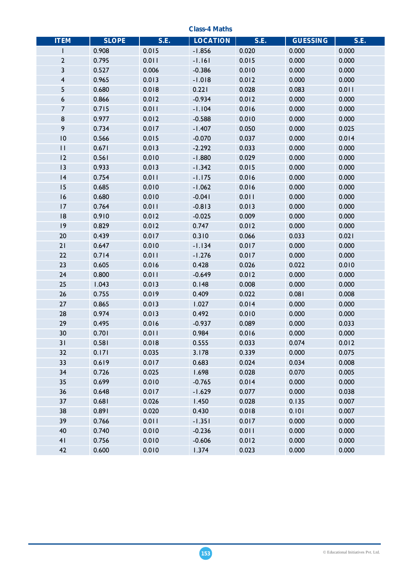**Class-4 Maths ITEM SLOPE S.E. LOCATION S.E. GUESSING S.E.** 1 0.908 0.015 -1.856 0.020 0.000 0.000 2 0.795 0.011 -1.161 0.015 0.000 0.000 3 0.527 0.006 -0.386 0.010 0.000 0.000 4 0.965 0.013 -1.018 0.012 0.000 0.000 5 0.680 0.018 0.221 0.028 0.083 0.011 6 0.866 0.012 -0.934 0.012 0.000 0.000 7 0.715 0.011 -1.104 0.016 0.000 0.000 8 0.977 0.012 -0.588 0.010 0.000 0.000 9 0.734 0.017 -1.407 0.050 0.000 0.025 10 0.566 0.015 -0.070 0.037 0.000 0.014 11 0.671 0.013 -2.292 0.033 0.000 0.000 12 0.561 0.010 -1.880 0.029 0.000 0.000 13 0.933 0.013 -1.342 0.015 0.000 0.000 14 0.754 0.011 -1.175 0.016 0.000 0.000 15 0.685 0.010 -1.062 0.016 0.000 0.000 16 0.680 0.010 -0.041 0.011 0.000 0.000 17 0.764 0.011 -0.813 0.013 0.000 0.000 18 0.910 0.012 -0.025 0.009 0.000 0.000 19 0.829 0.012 0.747 0.012 0.000 0.000 20 0.439 0.017 0.310 0.066 0.033 0.021 21 0.647 0.010 -1.134 0.017 0.000 0.000 22 0.714 0.011 -1.276 0.017 0.000 0.000 23 0.605 0.016 0.428 0.026 0.022 0.010 24 0.800 0.011 -0.649 0.012 0.000 0.000 25 1.043 0.013 0.148 0.008 0.000 0.000 26 0.755 0.019 0.409 0.022 0.081 0.008 27 0.865 0.013 1.027 0.014 0.000 0.000 28 0.974 0.013 0.492 0.010 0.000 0.000 29 0.495 0.016 -0.937 0.089 0.000 0.033 30 0.701 0.011 0.984 0.016 0.000 0.000 31 0.581 0.018 0.555 0.033 0.074 0.012 32 0.171 0.035 3.178 0.339 0.000 0.075 33 0.619 0.017 0.683 0.024 0.034 0.008 34 0.726 0.025 1.698 0.028 0.070 0.005 35 0.699 0.010 -0.765 0.014 0.000 0.000 36 0.648 0.017 -1.629 0.077 0.000 0.038 37 0.681 0.026 1.450 0.028 0.135 0.007 38 0.891 0.020 0.430 0.018 0.101 0.007 39 0.766 0.011 -1.351 0.017 0.000 0.000 40 0.740 0.010 -0.236 0.011 0.000 0.000 41 0.756 0.010 -0.606 0.012 0.000 0.000 42 0.600 0.010 1.374 0.023 0.000 0.000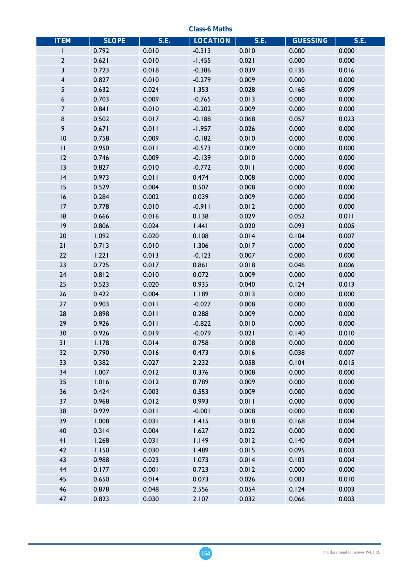**Class-6 Maths** 

| <b>ITEM</b>     | <b>SLOPE</b> | <b>S.E.</b> | <b>LOCATION</b> | S.E.  | <b>GUESSING</b> | <b>S.E.</b> |
|-----------------|--------------|-------------|-----------------|-------|-----------------|-------------|
| I               | 0.792        | 0.010       | $-0.313$        | 0.010 | 0.000           | 0.000       |
| $\mathbf 2$     | 0.621        | 0.010       | $-1.455$        | 0.021 | 0.000           | 0.000       |
| 3               | 0.723        | 0.018       | $-0.386$        | 0.039 | 0.135           | 0.016       |
| 4               | 0.827        | 0.010       | $-0.279$        | 0.009 | 0.000           | 0.000       |
| 5               | 0.632        | 0.024       | 1.353           | 0.028 | 0.168           | 0.009       |
| 6               | 0.703        | 0.009       | $-0.765$        | 0.013 | 0.000           | 0.000       |
| $\overline{7}$  | 0.841        | 0.010       | $-0.202$        | 0.009 | 0.000           | 0.000       |
| 8               | 0.502        | 0.017       | $-0.188$        | 0.068 | 0.057           | 0.023       |
| 9               | 0.671        | 0.011       | $-1.957$        | 0.026 | 0.000           | 0.000       |
| $\overline{10}$ | 0.758        | 0.009       | $-0.182$        | 0.010 | 0.000           | 0.000       |
| $\mathbf{H}$    | 0.950        | 0.011       | $-0.573$        | 0.009 | 0.000           | 0.000       |
| 12              | 0.746        | 0.009       | $-0.139$        | 0.010 | 0.000           | 0.000       |
| 13              | 0.827        | 0.010       | $-0.772$        | 0.011 | 0.000           | 0.000       |
| 4               | 0.973        | 0.011       | 0.474           | 0.008 | 0.000           | 0.000       |
| 15              | 0.529        | 0.004       | 0.507           | 0.008 | 0.000           | 0.000       |
| 16              | 0.284        | 0.002       | 0.039           | 0.009 | 0.000           | 0.000       |
| 17              | 0.778        | 0.010       | $-0.911$        | 0.012 | 0.000           | 0.000       |
| 8               | 0.666        | 0.016       | 0.138           | 0.029 | 0.052           | 0.011       |
| 9               | 0.806        | 0.024       | 1.441           | 0.020 | 0.093           | 0.005       |
| 20              | 1.092        | 0.020       | 0.108           | 0.014 | 0.104           | 0.007       |
| 21              | 0.713        | 0.010       | 1.306           | 0.017 | 0.000           | 0.000       |
| 22              | 1.221        | 0.013       | $-0.123$        | 0.007 | 0.000           | 0.000       |
| 23              | 0.725        | 0.017       | 0.861           | 0.018 | 0.046           | 0.006       |
| 24              | 0.812        | 0.010       | 0.072           | 0.009 | 0.000           | 0.000       |
| 25              | 0.523        | 0.020       | 0.935           | 0.040 | 0.124           | 0.013       |
| 26              | 0.422        | 0.004       | 1.189           | 0.013 | 0.000           | 0.000       |
| 27              | 0.903        | 0.011       | $-0.027$        | 0.008 | 0.000           | 0.000       |
| 28              | 0.898        | 0.011       | 0.288           | 0.009 | 0.000           | 0.000       |
| 29              | 0.926        | 0.011       | $-0.822$        | 0.010 | 0.000           | 0.000       |
| 30              | 0.926        | 0.019       | $-0.079$        | 0.021 | 0.140           | 0.010       |
| 31              | 1.178        | 0.014       | 0.758           | 0.008 | 0.000           | 0.000       |
| 32              | 0.790        | 0.016       | 0.473           | 0.016 | 0.038           | 0.007       |
| 33              | 0.382        | 0.027       | 2.232           | 0.058 | 0.104           | 0.015       |
| 34              | 1.007        | 0.012       | 0.376           | 0.008 | 0.000           | 0.000       |
| 35              | 1.016        | 0.012       | 0.789           | 0.009 | 0.000           | 0.000       |
| 36              | 0.424        | 0.003       | 0.553           | 0.009 | 0.000           | 0.000       |
| 37              | 0.968        | 0.012       | 0.993           | 0.011 | 0.000           | 0.000       |
| 38              | 0.929        | 0.011       | $-0.001$        | 0.008 | 0.000           | 0.000       |
| 39              | 1.008        | 0.031       | 1.415           | 0.018 | 0.168           | 0.004       |
| 40              | 0.314        | 0.004       | 1.627           | 0.022 | 0.000           | 0.000       |
| 41              | 1.268        | 0.031       | 1.149           | 0.012 | 0.140           | 0.004       |
| 42              | 1.150        | 0.030       | 1.489           | 0.015 | 0.095           | 0.003       |
| 43              | 0.988        | 0.023       | 1.073           | 0.014 | 0.103           | 0.004       |
| 44              | 0.177        | 0.001       | 0.723           | 0.012 | 0.000           | 0.000       |
| 45              | 0.650        | 0.014       | 0.073           | 0.026 | 0.003           | 0.010       |
| 46              | 0.878        | 0.048       | 2.556           | 0.054 | 0.124           | 0.003       |
| 47              | 0.823        | 0.030       | 2.107           | 0.032 | 0.066           | 0.003       |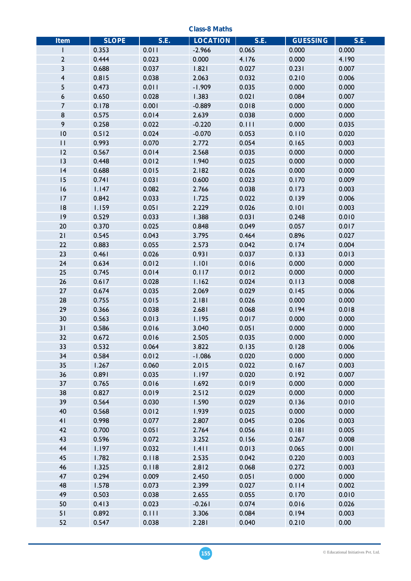**Class-8 Maths** 

| <b>Item</b>             | <b>SLOPE</b> | S.E.  | <b>LOCATION</b> | S.E.  | <b>GUESSING</b> | S.E.  |
|-------------------------|--------------|-------|-----------------|-------|-----------------|-------|
| I.                      | 0.353        | 0.011 | $-2.966$        | 0.065 | 0.000           | 0.000 |
| $\mathbf{2}$            | 0.444        | 0.023 | 0.000           | 4.176 | 0.000           | 4.190 |
| 3                       | 0.688        | 0.037 | 1.821           | 0.027 | 0.231           | 0.007 |
| $\overline{\mathbf{4}}$ | 0.815        | 0.038 | 2.063           | 0.032 | 0.210           | 0.006 |
| 5                       | 0.473        | 0.011 | $-1.909$        | 0.035 | 0.000           | 0.000 |
| 6                       | 0.650        | 0.028 | 1.383           | 0.021 | 0.084           | 0.007 |
| $\overline{7}$          | 0.178        | 0.001 | $-0.889$        | 0.018 | 0.000           | 0.000 |
| 8                       | 0.575        | 0.014 | 2.639           | 0.038 | 0.000           | 0.000 |
| 9                       | 0.258        | 0.022 | $-0.220$        | 0.111 | 0.000           | 0.035 |
| $\overline{10}$         | 0.512        | 0.024 | $-0.070$        | 0.053 | 0.110           | 0.020 |
| $\mathbf{H}$            | 0.993        | 0.070 | 2.772           | 0.054 | 0.165           | 0.003 |
| 12                      | 0.567        | 0.014 | 2.568           | 0.035 | 0.000           | 0.000 |
| 13                      | 0.448        | 0.012 | 1.940           | 0.025 | 0.000           | 0.000 |
| 4                       | 0.688        | 0.015 | 2.182           | 0.026 | 0.000           | 0.000 |
| 15                      | 0.741        | 0.031 | 0.600           | 0.023 | 0.170           | 0.009 |
| 16                      | 1.147        | 0.082 | 2.766           | 0.038 | 0.173           | 0.003 |
| 17                      | 0.842        | 0.033 | 1.725           | 0.022 | 0.139           | 0.006 |
|                         |              |       |                 |       |                 | 0.003 |
| 8                       | 1.159        | 0.051 | 2.229           | 0.026 | 0.101           |       |
| 9                       | 0.529        | 0.033 | 1.388           | 0.031 | 0.248           | 0.010 |
| 20                      | 0.370        | 0.025 | 0.848           | 0.049 | 0.057           | 0.017 |
| 21                      | 0.545        | 0.043 | 3.795           | 0.464 | 0.896           | 0.027 |
| 22                      | 0.883        | 0.055 | 2.573           | 0.042 | 0.174           | 0.004 |
| 23                      | 0.461        | 0.026 | 0.931           | 0.037 | 0.133           | 0.013 |
| 24                      | 0.634        | 0.012 | 1.101           | 0.016 | 0.000           | 0.000 |
| 25                      | 0.745        | 0.014 | 0.117           | 0.012 | 0.000           | 0.000 |
| 26                      | 0.617        | 0.028 | 1.162           | 0.024 | 0.113           | 0.008 |
| 27                      | 0.674        | 0.035 | 2.069           | 0.029 | 0.145           | 0.006 |
| 28                      | 0.755        | 0.015 | 2.181           | 0.026 | 0.000           | 0.000 |
| 29                      | 0.366        | 0.038 | 2.681           | 0.068 | 0.194           | 0.018 |
| 30                      | 0.563        | 0.013 | 1.195           | 0.017 | 0.000           | 0.000 |
| 31                      | 0.586        | 0.016 | 3.040           | 0.051 | 0.000           | 0.000 |
| 32                      | 0.672        | 0.016 | 2.505           | 0.035 | 0.000           | 0.000 |
| 33                      | 0.532        | 0.064 | 3.822           | 0.135 | 0.128           | 0.006 |
| 34                      | 0.584        | 0.012 | $-1.086$        | 0.020 | 0.000           | 0.000 |
| 35                      | 1.267        | 0.060 | 2.015           | 0.022 | 0.167           | 0.003 |
| 36                      | 0.891        | 0.035 | 1.197           | 0.020 | 0.192           | 0.007 |
| 37                      | 0.765        | 0.016 | 1.692           | 0.019 | 0.000           | 0.000 |
| 38                      | 0.827        | 0.019 | 2.512           | 0.029 | 0.000           | 0.000 |
| 39                      | 0.564        | 0.030 | 1.590           | 0.029 | 0.136           | 0.010 |
| 40                      | 0.568        | 0.012 | 1.939           | 0.025 | 0.000           | 0.000 |
| 41                      | 0.998        | 0.077 | 2.807           | 0.045 | 0.206           | 0.003 |
| 42                      | 0.700        | 0.051 | 2.764           | 0.056 | 0.181           | 0.005 |
| 43                      | 0.596        | 0.072 | 3.252           | 0.156 | 0.267           | 0.008 |
| 44                      | 1.197        | 0.032 | 1.411           | 0.013 | 0.065           | 0.001 |
| 45                      | 1.782        | 0.118 | 2.535           | 0.042 | 0.220           | 0.003 |
| 46                      | 1.325        | 0.118 | 2.812           | 0.068 | 0.272           | 0.003 |
| 47                      | 0.294        | 0.009 | 2.450           | 0.051 | 0.000           | 0.000 |
| 48                      | 1.578        | 0.073 | 2.399           | 0.027 | 0.114           | 0.002 |
| 49                      | 0.503        | 0.038 | 2.655           | 0.055 | 0.170           | 0.010 |
| 50                      | 0.413        | 0.023 | $-0.261$        | 0.074 | 0.016           | 0.026 |
| 51                      | 0.892        | 0.111 | 3.306           | 0.084 | 0.194           | 0.003 |
| 52                      | 0.547        | 0.038 | 2.281           | 0.040 | 0.210           | 0.00  |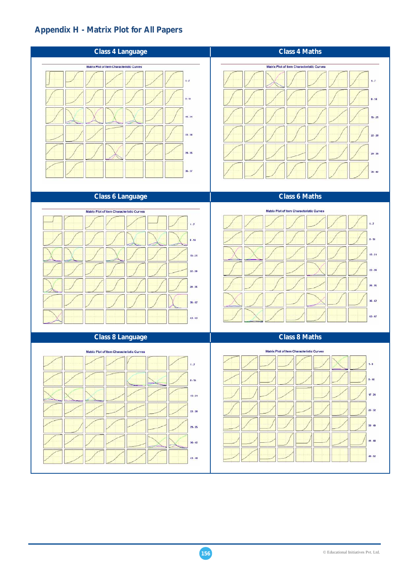## **Appendix H - Matrix Plot for All Papers**

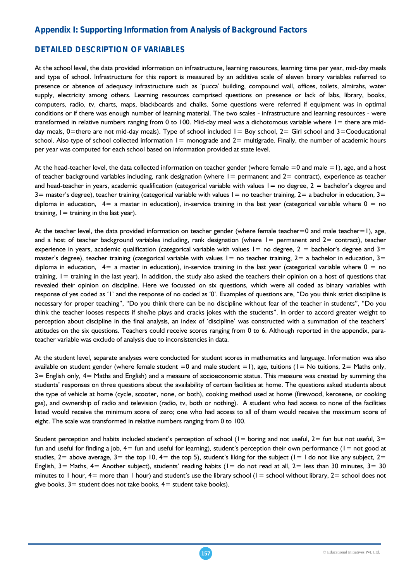## **Appendix I: Supporting Information from Analysis of Background Factors**

## *DETAILED DESCRIPTION OF VARIABLES*

At the school level, the data provided information on infrastructure, learning resources, learning time per year, mid-day meals and type of school. Infrastructure for this report is measured by an additive scale of eleven binary variables referred to presence or absence of adequacy infrastructure such as 'pucca' building, compound wall, offices, toilets, almirahs, water supply, electricity among others. Learning resources comprised questions on presence or lack of labs, library, books, computers, radio, tv, charts, maps, blackboards and chalks. Some questions were referred if equipment was in optimal conditions or if there was enough number of learning material. The two scales - infrastructure and learning resources - were transformed in relative numbers ranging from 0 to 100. Mid-day meal was a dichotomous variable where  $l =$  there are midday meals, 0=there are not mid-day meals). Type of school included  $I = Boy$  school,  $2 =$  Girl school and  $3 =$ Coeducational school. Also type of school collected information  $I =$  monograde and  $2=$  multigrade. Finally, the number of academic hours per year was computed for each school based on information provided at state level.

At the head-teacher level, the data collected information on teacher gender (where female  $=0$  and male  $=1$ ), age, and a host of teacher background variables including, rank designation (where  $1=$  permanent and  $2=$  contract), experience as teacher and head-teacher in years, academic qualification (categorical variable with values  $1=$  no degree,  $2 =$  bachelor's degree and  $3=$  master's degree), teacher training (categorical variable with values  $1=$  no teacher training,  $2=$  a bachelor in education,  $3=$ diploma in education,  $4=$  a master in education), in-service training in the last year (categorical variable where  $0 =$  no training,  $I =$  training in the last year).

At the teacher level, the data provided information on teacher gender (where female teacher=0 and male teacher=1), age, and a host of teacher background variables including, rank designation (where  $l =$  permanent and  $2 =$  contract), teacher experience in years, academic qualification (categorical variable with values  $1=$  no degree,  $2=$  bachelor's degree and  $3=$ master's degree), teacher training (categorical variable with values  $1=$  no teacher training,  $2=$  a bachelor in education,  $3=$ diploma in education,  $4=$  a master in education), in-service training in the last year (categorical variable where  $0 =$  no training,  $I =$  training in the last year). In addition, the study also asked the teachers their opinion on a host of questions that revealed their opinion on discipline. Here we focussed on six questions, which were all coded as binary variables with response of yes coded as '1' and the response of no coded as '0'. Examples of questions are, "Do you think strict discipline is necessary for proper teaching", "Do you think there can be no discipline without fear of the teacher in students", "Do you think the teacher looses respects if she/he plays and cracks jokes with the students". In order to accord greater weight to perception about discipline in the final analysis, an index of 'discipline' was constructed with a summation of the teachers' attitudes on the six questions. Teachers could receive scores ranging from 0 to 6. Although reported in the appendix, parateacher variable was exclude of analysis due to inconsistencies in data.

At the student level, separate analyses were conducted for student scores in mathematics and language. Information was also available on student gender (where female student =0 and male student =1), age, tuitions ( $l = No$  tuitions,  $2 = Maths$  only, 3= English only, 4= Maths and English) and a measure of socioeconomic status. This measure was created by summing the students' responses on three questions about the availability of certain facilities at home. The questions asked students about the type of vehicle at home (cycle, scooter, none, or both), cooking method used at home (firewood, kerosene, or cooking gas), and ownership of radio and television (radio, tv, both or nothing). A student who had access to none of the facilities listed would receive the minimum score of zero; one who had access to all of them would receive the maximum score of eight. The scale was transformed in relative numbers ranging from 0 to 100.

Student perception and habits included student's perception of school ( $l =$  boring and not useful,  $2 =$  fun but not useful,  $3 =$ fun and useful for finding a job,  $4=$  fun and useful for learning), student's perception their own performance ( $I=$  not good at studies,  $2=$  above average,  $3=$  the top 10,  $4=$  the top 5), student's liking for the subject ( $1=$  I do not like any subject,  $2=$ English,  $3=$  Maths,  $4=$  Another subject), students' reading habits ( $1=$  do not read at all,  $2=$  less than 30 minutes,  $3=$  30 minutes to 1 hour,  $4=$  more than 1 hour) and student's use the library school  $(1=$  school without library,  $2=$  school does not give books,  $3=$  student does not take books,  $4=$  student take books).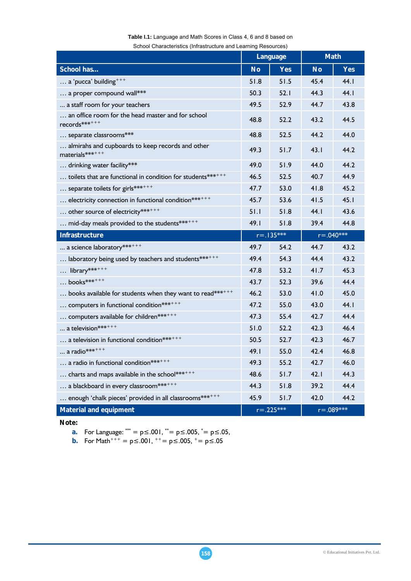|                                                                        |           | Language       | <b>Math</b>   |               |  |
|------------------------------------------------------------------------|-----------|----------------|---------------|---------------|--|
| School has                                                             | <b>No</b> | <b>Yes</b>     | <b>No</b>     | <b>Yes</b>    |  |
| $\ldots$ a 'pucca' building <sup>+++</sup>                             | 51.8      | 51.5           | 45.4          | 44.1          |  |
| a proper compound wall***                                              | 50.3      | 52.1           | 44.3          | 44.I          |  |
| a staff room for your teachers                                         | 49.5      | 52.9           | 44.7          | 43.8          |  |
| an office room for the head master and for school<br>$records******$   | 48.8      | 52.2           | 43.2          | 44.5          |  |
| separate classrooms***                                                 | 48.8      | 52.5           | 44.2          | 44.0          |  |
| almirahs and cupboards to keep records and other<br>materials $******$ | 49.3      | 51.7           | 43.1          | 44.2          |  |
| drinking water facility***                                             | 49.0      | 51.9           | 44.0          | 44.2          |  |
| toilets that are functional in condition for students*******           | 46.5      | 52.5           | 40.7          | 44.9          |  |
| separate toilets for girls*******                                      | 47.7      | 53.0           | 41.8          | 45.2          |  |
| electricity connection in functional condition*******                  | 45.7      | 53.6           | 41.5          | 45.1          |  |
| other source of electricity*******                                     | 51.1      | 51.8           | 44.I          | 43.6          |  |
| mid-day meals provided to the students*******                          | 49.I      | 51.8           | 39.4          | 44.8          |  |
| <b>Infrastructure</b>                                                  |           | $r = .135***$  | $r = .040***$ |               |  |
| a science laboratory*******                                            | 49.7      | 54.2           | 44.7          | 43.2          |  |
| laboratory being used by teachers and students*******                  | 49.4      | 54.3           | 44.4          | 43.2          |  |
| library*******                                                         | 47.8      | 53.2           | 41.7          | 45.3          |  |
| $$ books *******                                                       | 43.7      | 52.3           | 39.6          | 44.4          |  |
| books available for students when they want to read*******             | 46.2      | 53.0           | 41.0          | 45.0          |  |
| computers in functional condition*******                               | 47.2      | 55.0           | 43.0          | 44.I          |  |
| computers available for children*******                                | 47.3      | 55.4           | 42.7          | 44.4          |  |
| a television*******                                                    | 51.0      | 52.2           | 42.3          | 46.4          |  |
| a television in functional condition*******                            | 50.5      | 52.7           | 42.3          | 46.7          |  |
| a radio **** + + +                                                     | 49.I      | 55.0           | 42.4          | 46.8          |  |
| a radio in functional condition*******                                 | 49.3      | 55.2           | 42.7          | 46.0          |  |
| charts and maps available in the school*******                         | 48.6      | 51.7           | 42.1          | 44.3          |  |
| a blackboard in every classroom *******                                | 44.3      | 51.8           | 39.2          | 44.4          |  |
| enough 'chalk pieces' provided in all classrooms*******                | 45.9      | 51.7           | 42.0          | 44.2          |  |
| <b>Material and equipment</b>                                          |           | $r = 0.225***$ |               | $r = .089***$ |  |

## **Table I.1:** Language and Math Scores in Class 4, 6 and 8 based on

School Characteristics (Infrastructure and Learning Resources)

**Note:** 

**a.** For Language:  $^{***}$  = p≤.001,  $^{**}$  = p≤.005,  $^{*}$  = p≤.05,

**b.** For Math<sup>+++</sup> =  $p \le .001$ , <sup>++</sup> =  $p \le .005$ , <sup>+</sup> =  $p \le .05$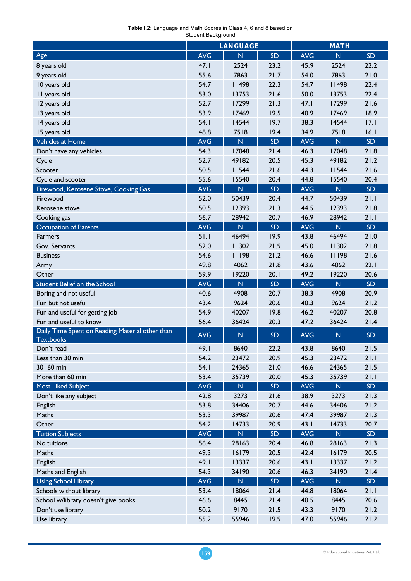| Table I.2: Language and Math Scores in Class 4, 6 and 8 based on |  |  |  |  |  |  |
|------------------------------------------------------------------|--|--|--|--|--|--|
| Student Background                                               |  |  |  |  |  |  |
|                                                                  |  |  |  |  |  |  |

|                                                                     |            | <b>LANGUAGE</b>         |           |            | <b>MATH</b>             |           |  |
|---------------------------------------------------------------------|------------|-------------------------|-----------|------------|-------------------------|-----------|--|
| Age                                                                 | <b>AVG</b> | $\overline{\mathsf{N}}$ | <b>SD</b> | <b>AVG</b> | $\overline{\mathsf{N}}$ | <b>SD</b> |  |
| 8 years old                                                         | 47.1       | 2524                    | 23.2      | 45.9       | 2524                    | 22.2      |  |
| 9 years old                                                         | 55.6       | 7863                    | 21.7      | 54.0       | 7863                    | 21.0      |  |
| 10 years old                                                        | 54.7       | 11498                   | 22.3      | 54.7       | 11498                   | 22.4      |  |
| II years old                                                        | 53.0       | 13753                   | 21.6      | 50.0       | 13753                   | 22.4      |  |
| 12 years old                                                        | 52.7       | 17299                   | 21.3      | 47.1       | 17299                   | 21.6      |  |
| 13 years old                                                        | 53.9       | 17469                   | 19.5      | 40.9       | 17469                   | 18.9      |  |
| 14 years old                                                        | 54.1       | 14544                   | 19.7      | 38.3       | 14544                   | 17.1      |  |
| 15 years old                                                        | 48.8       | 7518                    | 19.4      | 34.9       | 7518                    | 16.1      |  |
| Vehicles at Home                                                    | <b>AVG</b> | $\overline{\mathsf{N}}$ | SD        | <b>AVG</b> | $\mathbb N$             | <b>SD</b> |  |
| Don't have any vehicles                                             | 54.3       | 17048                   | 21.4      | 46.3       | 17048                   | 21.8      |  |
| Cycle                                                               | 52.7       | 49182                   | 20.5      | 45.3       | 49182                   | 21.2      |  |
| Scooter                                                             | 50.5       | 11544                   | 21.6      | 44.3       | 11544                   | 21.6      |  |
| Cycle and scooter                                                   | 55.6       | 15540                   | 20.4      | 44.8       | 15540                   | 20.4      |  |
| Firewood, Kerosene Stove, Cooking Gas                               | <b>AVG</b> | $\overline{\mathsf{N}}$ | <b>SD</b> | <b>AVG</b> | $\overline{\mathsf{N}}$ | <b>SD</b> |  |
| Firewood                                                            | 52.0       | 50439                   | 20.4      | 44.7       | 50439                   | 21.1      |  |
| Kerosene stove                                                      | 50.5       | 12393                   | 21.3      | 44.5       | 12393                   | 21.8      |  |
| Cooking gas                                                         | 56.7       | 28942                   | 20.7      | 46.9       | 28942                   | 21.1      |  |
| <b>Occupation of Parents</b>                                        | <b>AVG</b> | N                       | <b>SD</b> | <b>AVG</b> | $\mathsf{N}$            | <b>SD</b> |  |
| <b>Farmers</b>                                                      | 51.1       | 46494                   | 19.9      | 43.8       | 46494                   | 21.0      |  |
| Gov. Servants                                                       | 52.0       | 11302                   | 21.9      | 45.0       | 11302                   | 21.8      |  |
| <b>Business</b>                                                     | 54.6       | 11198                   | 21.2      | 46.6       | 11198                   | 21.6      |  |
| Army                                                                | 49.8       | 4062                    | 21.8      | 43.6       | 4062                    | 22.1      |  |
| Other                                                               | 59.9       | 19220                   | 20.1      | 49.2       | 19220                   | 20.6      |  |
| <b>Student Belief on the School</b>                                 | <b>AVG</b> | N                       | SD        | <b>AVG</b> | $\overline{\mathsf{N}}$ | <b>SD</b> |  |
| Boring and not useful                                               | 40.6       | 4908                    | 20.7      | 38.3       | 4908                    | 20.9      |  |
| Fun but not useful                                                  | 43.4       | 9624                    | 20.6      | 40.3       | 9624                    | 21.2      |  |
| Fun and useful for getting job                                      | 54.9       | 40207                   | 19.8      | 46.2       | 40207                   | 20.8      |  |
| Fun and useful to know                                              | 56.4       | 36424                   | 20.3      | 47.2       | 36424                   | 21.4      |  |
| Daily Time Spent on Reading Material other than<br><b>Textbooks</b> | <b>AVG</b> | ${\sf N}$               | <b>SD</b> | <b>AVG</b> | $\mathsf{N}$            | <b>SD</b> |  |
| Don't read                                                          | 49.I       | 8640                    | 22.2      | 43.8       | 8640                    | 21.5      |  |
| Less than 30 min                                                    | 54.2       | 23472                   | 20.9      | 45.3       | 23472                   | 21.1      |  |
| 30-60 min                                                           | 54.1       | 24365                   | 21.0      | 46.6       | 24365                   | 21.5      |  |
| More than 60 min                                                    | 53.4       | 35739                   | 20.0      | 45.3       | 35739                   | 21.1      |  |
| <b>Most Liked Subject</b>                                           | <b>AVG</b> | $\mathsf{N}$            | <b>SD</b> | <b>AVG</b> | ${\mathsf N}$           | <b>SD</b> |  |
| Don't like any subject                                              | 42.8       | 3273                    | 21.6      | 38.9       | 3273                    | 21.3      |  |
| English                                                             | 53.8       | 34406                   | 20.7      | 44.6       | 34406                   | 21.2      |  |
| Maths                                                               | 53.3       | 39987                   | 20.6      | 47.4       | 39987                   | 21.3      |  |
| Other                                                               | 54.2       | 14733                   | 20.9      | 43.1       | 14733                   | 20.7      |  |
| <b>Tuition Subjects</b>                                             | <b>AVG</b> | ${\sf N}$               | <b>SD</b> | <b>AVG</b> | ${\mathsf N}$           | <b>SD</b> |  |
| No tuitions                                                         | 56.4       | 28163                   | 20.4      | 46.8       | 28163                   | 21.3      |  |
| Maths                                                               | 49.3       | 16179                   | 20.5      | 42.4       | 16179                   | 20.5      |  |
| English                                                             | 49.I       | 13337                   | 20.6      | 43.1       | 13337                   | 21.2      |  |
| Maths and English                                                   | 54.3       | 34190                   | 20.6      | 46.3       | 34190                   | 21.4      |  |
| <b>Using School Library</b>                                         | <b>AVG</b> | $\mathsf{N}$            | <b>SD</b> | <b>AVG</b> | ${\sf N}$               | <b>SD</b> |  |
| Schools without library                                             | 53.4       | 18064                   | 21.4      | 44.8       | 18064                   | 21.1      |  |
| School w/library doesn't give books                                 | 46.6       | 8445                    | 21.4      | 40.5       | 8445                    | 20.6      |  |
| Don't use library                                                   | 50.2       | 9170                    | 21.5      | 43.3       | 9170                    | 21.2      |  |
| Use library                                                         | 55.2       | 55946                   | 19.9      | 47.0       | 55946                   | 21.2      |  |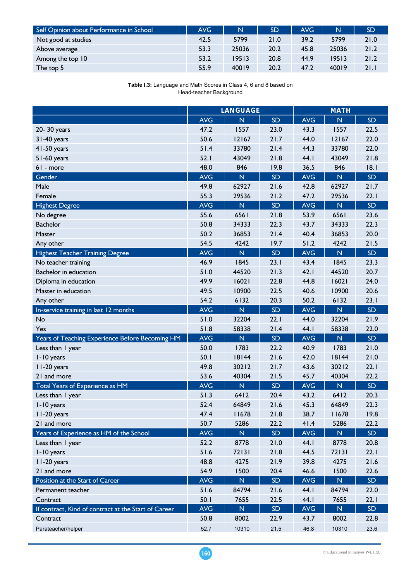| Self Opinion about Performance in School | AVG. | N     | <b>SD</b> | AVG  | $\mathbf N$ | SD.  |
|------------------------------------------|------|-------|-----------|------|-------------|------|
| Not good at studies                      | 42.5 | 5799  | 21.0      | 39.2 | 5799        | 21.0 |
| Above average                            | 53.3 | 25036 | 20.2      | 45.8 | 25036       | 21.2 |
| Among the top 10                         | 53.2 | 19513 | 20.8      | 44.9 | 19513       | 21.2 |
| The top 5                                | 55.9 | 40019 | 20.2      | 47.2 | 40019       | 21.1 |

**Table I.3:** Language and Math Scores in Class 4, 6 and 8 based on Head-teacher Background

|                                                      |            | <b>LANGUAGE</b>         |           |            | <b>MATH</b>             |           |
|------------------------------------------------------|------------|-------------------------|-----------|------------|-------------------------|-----------|
|                                                      | <b>AVG</b> | $\overline{\mathsf{N}}$ | <b>SD</b> | <b>AVG</b> | $\overline{\mathsf{N}}$ | <b>SD</b> |
| 20-30 years                                          | 47.2       | 1557                    | 23.0      | 43.3       | 1557                    | 22.5      |
| 31-40 years                                          | 50.6       | 12167                   | 21.7      | 44.0       | 12167                   | 22.0      |
| 41-50 years                                          | 51.4       | 33780                   | 21.4      | 44.3       | 33780                   | 22.0      |
| 51-60 years                                          | 52.1       | 43049                   | 21.8      | 44.I       | 43049                   | 21.8      |
| $61 - more$                                          | 48.0       | 846                     | 19.8      | 36.5       | 846                     | 18.1      |
| Gender                                               | <b>AVG</b> | $\mathbb N$             | <b>SD</b> | <b>AVG</b> | $\overline{\mathsf{N}}$ | SD        |
| Male                                                 | 49.8       | 62927                   | 21.6      | 42.8       | 62927                   | 21.7      |
| Female                                               | 55.3       | 29536                   | 21.2      | 47.2       | 29536                   | 22.1      |
| <b>Highest Degree</b>                                | <b>AVG</b> | $\overline{\mathsf{N}}$ | <b>SD</b> | <b>AVG</b> | $\overline{\mathsf{N}}$ | <b>SD</b> |
| No degree                                            | 55.6       | 6561                    | 21.8      | 53.9       | 6561                    | 23.6      |
| <b>Bachelor</b>                                      | 50.8       | 34333                   | 22.3      | 43.7       | 34333                   | 22.3      |
| Master                                               | 50.2       | 36853                   | 21.4      | 40.4       | 36853                   | 20.0      |
| Any other                                            | 54.5       | 4242                    | 19.7      | 51.2       | 4242                    | 21.5      |
| <b>Highest Teacher Training Degree</b>               | <b>AVG</b> | $\mathsf{N}$            | <b>SD</b> | <b>AVG</b> | $\overline{\mathsf{N}}$ | SD        |
| No teacher training                                  | 46.9       | 1845                    | 23.1      | 43.4       | 1845                    | 23.3      |
| Bachelor in education                                | 51.0       | 44520                   | 21.3      | 42.1       | 44520                   | 20.7      |
| Diploma in education                                 | 49.9       | 16021                   | 22.8      | 44.8       | 16021                   | 24.0      |
| Master in education                                  | 49.5       | 10900                   | 22.5      | 40.6       | 10900                   | 20.6      |
| Any other                                            | 54.2       | 6132                    | 20.3      | 50.2       | 6132                    | 23.1      |
| In-service training in last 12 months                | <b>AVG</b> | $\mathbb N$             | <b>SD</b> | <b>AVG</b> | $\overline{\mathsf{N}}$ | <b>SD</b> |
| No                                                   | 51.0       | 32204                   | 22.1      | 44.0       | 32204                   | 21.9      |
| Yes                                                  | 51.8       | 58338                   | 21.4      | 44.I       | 58338                   | 22.0      |
| Years of Teaching Experience Before Becoming HM      | <b>AVG</b> | $\overline{\mathsf{N}}$ | <b>SD</b> | <b>AVG</b> | $\overline{\mathsf{N}}$ | SD        |
| Less than I year                                     | 50.0       | 1783                    | 22.2      | 40.9       | 1783                    | 21.0      |
| I-10 years                                           | 50.1       | 18144                   | 21.6      | 42.0       | 18144                   | 21.0      |
| II-20 years                                          | 49.8       | 30212                   | 21.7      | 43.6       | 30212                   | 22.1      |
| 21 and more                                          | 53.6       | 40304                   | 21.5      | 45.7       | 40304                   | 22.2      |
| <b>Total Years of Experience as HM</b>               | <b>AVG</b> | $\mathsf{N}$            | <b>SD</b> | <b>AVG</b> | $\overline{\mathsf{N}}$ | SD        |
| Less than I year                                     | 51.3       | 6412                    | 20.4      | 43.2       | 6412                    | 20.3      |
| I-10 years                                           | 52.4       | 64849                   | 21.6      | 45.3       | 64849                   | 22.3      |
| II-20 years                                          | 47.4       | 11678                   | 21.8      | 38.7       | 11678                   | 19.8      |
| 21 and more                                          | 50.7       | 5286                    | 22.2      | 41.4       | 5286                    | 22.2      |
| Years of Experience as HM of the School              | <b>AVG</b> | $\overline{\mathsf{N}}$ | <b>SD</b> | <b>AVG</b> | $\overline{\mathsf{N}}$ | <b>SD</b> |
| Less than I year                                     | 52.2       | 8778                    | 21.0      | 44.I       | 8778                    | 20.8      |
| I-10 years                                           | 51.6       | 72131                   | 21.8      | 44.5       | 72131                   | 22.1      |
| II-20 years                                          | 48.8       | 4275                    | 21.9      | 39.8       | 4275                    | 21.6      |
| 21 and more                                          | 54.9       | 1500                    | 20.4      | 46.6       | 1500                    | 22.6      |
| Position at the Start of Career                      | <b>AVG</b> | ${\mathsf N}$           | <b>SD</b> | <b>AVG</b> | ${\mathsf N}$           | <b>SD</b> |
| Permanent teacher                                    | 51.6       | 84794                   | 21.6      | 44.I       | 84794                   | 22.0      |
| Contract                                             | 50.1       | 7655                    | 22.5      | 44.I       | 7655                    | 22.1      |
| If contract, Kind of contract at the Start of Career | <b>AVG</b> | ${\sf N}$               | <b>SD</b> | <b>AVG</b> | $\mathsf{N}$            | <b>SD</b> |
| Contract                                             | 50.8       | 8002                    | 22.9      | 43.7       | 8002                    | 22.8      |
| Parateacher/helper                                   | 52.7       | 10310                   | 21.5      | 46.8       | 10310                   | 23.6      |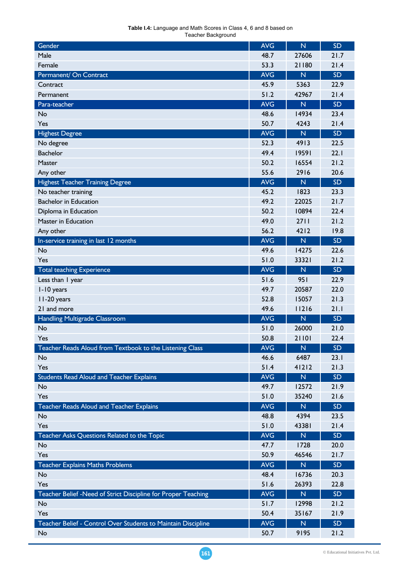| <b>Table I.4:</b> Language and Math Scores in Class 4, 6 and 8 based on |
|-------------------------------------------------------------------------|
| Teacher Background                                                      |

| Gender                                                        | <b>AVG</b> | $\overline{\mathsf{N}}$ | <b>SD</b> |
|---------------------------------------------------------------|------------|-------------------------|-----------|
| Male                                                          | 48.7       | 27606                   | 21.7      |
| Female                                                        | 53.3       | 21180                   | 21.4      |
| Permanent/ On Contract                                        | <b>AVG</b> | N                       | <b>SD</b> |
| Contract                                                      | 45.9       | 5363                    | 22.9      |
| Permanent                                                     | 51.2       | 42967                   | 21.4      |
| Para-teacher                                                  | <b>AVG</b> | $\mathsf{N}$            | <b>SD</b> |
| No                                                            | 48.6       | 14934                   | 23.4      |
| Yes                                                           | 50.7       | 4243                    | 21.4      |
| <b>Highest Degree</b>                                         | <b>AVG</b> | N                       | <b>SD</b> |
| No degree                                                     | 52.3       | 4913                    | 22.5      |
| <b>Bachelor</b>                                               | 49.4       | 19591                   | 22.1      |
| Master                                                        | 50.2       | 16554                   | 21.2      |
| Any other                                                     | 55.6       | 2916                    | 20.6      |
| <b>Highest Teacher Training Degree</b>                        | <b>AVG</b> | N                       | <b>SD</b> |
| No teacher training                                           | 45.2       | 1823                    | 23.3      |
| <b>Bachelor in Education</b>                                  | 49.2       | 22025                   | 21.7      |
| Diploma in Education                                          | 50.2       | 10894                   | 22.4      |
| Master in Education                                           | 49.0       | 2711                    | 21.2      |
| Any other                                                     | 56.2       | 4212                    | 19.8      |
| In-service training in last 12 months                         | <b>AVG</b> | $\overline{\mathsf{N}}$ | <b>SD</b> |
| No                                                            | 49.6       | 14275                   | 22.6      |
| Yes                                                           | 51.0       | 33321                   | 21.2      |
| <b>Total teaching Experience</b>                              | <b>AVG</b> | $\mathsf{N}$            | <b>SD</b> |
| Less than I year                                              | 51.6       | 951                     | 22.9      |
| I-10 years                                                    | 49.7       | 20587                   | 22.0      |
| II-20 years                                                   | 52.8       | 15057                   | 21.3      |
| 21 and more                                                   | 49.6       | 11216                   | 21.1      |
| Handling Multigrade Classroom                                 | <b>AVG</b> | $\overline{\mathsf{N}}$ | <b>SD</b> |
| No                                                            | 51.0       | 26000                   | 21.0      |
| Yes                                                           | 50.8       | 21101                   | 22.4      |
| Teacher Reads Aloud from Textbook to the Listening Class      | <b>AVG</b> | N                       | <b>SD</b> |
| No                                                            | 46.6       | 6487                    | 23.1      |
| Yes                                                           | 51.4       | 41212                   | 21.3      |
| <b>Students Read Aloud and Teacher Explains</b>               | <b>AVG</b> | $\overline{\mathsf{N}}$ | SD        |
| No                                                            | 49.7       | 12572                   | 21.9      |
| Yes                                                           | 51.0       | 35240                   | 21.6      |
| <b>Teacher Reads Aloud and Teacher Explains</b>               | <b>AVG</b> | ${\sf N}$               | <b>SD</b> |
| No                                                            | 48.8       | 4394                    | 23.5      |
| Yes                                                           | 51.0       | 43381                   | 21.4      |
| Teacher Asks Questions Related to the Topic                   | <b>AVG</b> | $\overline{\mathsf{N}}$ | <b>SD</b> |
| No                                                            | 47.7       | 1728                    | 20.0      |
| Yes                                                           | 50.9       | 46546                   | 21.7      |
| <b>Teacher Explains Maths Problems</b>                        | <b>AVG</b> | $\mathsf{N}$            | <b>SD</b> |
| No                                                            | 48.4       | 16736                   | 20.3      |
| Yes                                                           | 51.6       | 26393                   | 22.8      |
| Teacher Belief -Need of Strict Discipline for Proper Teaching | <b>AVG</b> | $\overline{\mathsf{N}}$ | <b>SD</b> |
| No                                                            | 51.7       | 12998                   | 21.2      |
| Yes                                                           | 50.4       | 35167                   | 21.9      |
| Teacher Belief - Control Over Students to Maintain Discipline | <b>AVG</b> | ${\mathsf N}$           | SD        |
| No                                                            | 50.7       | 9195                    | 21.2      |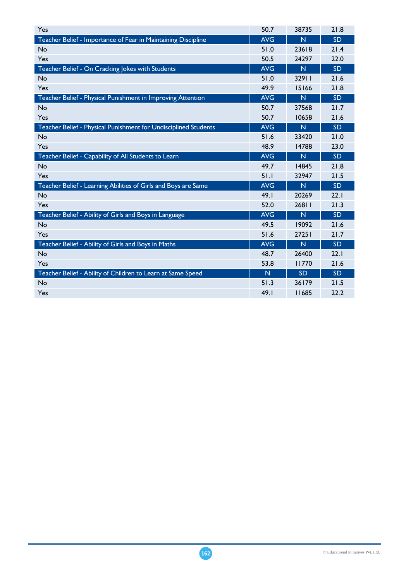| Yes                                                             | 50.7       | 38735                   | 21.8      |
|-----------------------------------------------------------------|------------|-------------------------|-----------|
| Teacher Belief - Importance of Fear in Maintaining Discipline   | <b>AVG</b> | N                       | <b>SD</b> |
| No                                                              | 51.0       | 23618                   | 21.4      |
| Yes                                                             | 50.5       | 24297                   | 22.0      |
| Teacher Belief - On Cracking Jokes with Students                | <b>AVG</b> | $\overline{\mathsf{N}}$ | <b>SD</b> |
| No                                                              | 51.0       | 32911                   | 21.6      |
| Yes                                                             | 49.9       | 15166                   | 21.8      |
| Teacher Belief - Physical Punishment in Improving Attention     | <b>AVG</b> | N                       | SD        |
| No                                                              | 50.7       | 37568                   | 21.7      |
| Yes                                                             | 50.7       | 10658                   | 21.6      |
| Teacher Belief - Physical Punishment for Undisciplined Students | <b>AVG</b> | $\overline{\mathsf{N}}$ | <b>SD</b> |
| No                                                              | 51.6       | 33420                   | 21.0      |
| Yes                                                             | 48.9       | 14788                   | 23.0      |
| Teacher Belief - Capability of All Students to Learn            | <b>AVG</b> | $\mathsf{N}$            | <b>SD</b> |
| No                                                              | 49.7       | 14845                   | 21.8      |
| Yes                                                             | 51.1       | 32947                   | 21.5      |
| Teacher Belief - Learning Abilities of Girls and Boys are Same  | <b>AVG</b> | $\mathsf{N}$            | <b>SD</b> |
| No                                                              | 49.1       | 20269                   | 22.1      |
| Yes                                                             | 52.0       | 26811                   | 21.3      |
| Teacher Belief - Ability of Girls and Boys in Language          | <b>AVG</b> | $\mathsf{N}$            | <b>SD</b> |
| No                                                              | 49.5       | 19092                   | 21.6      |
| Yes                                                             | 51.6       | 27251                   | 21.7      |
| Teacher Belief - Ability of Girls and Boys in Maths             | <b>AVG</b> | N                       | <b>SD</b> |
| No                                                              | 48.7       | 26400                   | 22.1      |
| Yes                                                             | 53.8       | 11770                   | 21.6      |
| Teacher Belief - Ability of Children to Learn at Same Speed     | N          | <b>SD</b>               | SD        |
| No                                                              | 51.3       | 36179                   | 21.5      |
| Yes                                                             | 49.I       | 11685                   | 22.2      |